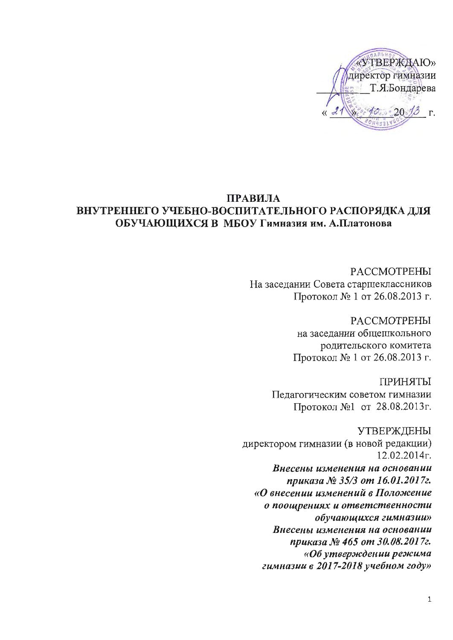«УТВЕРЖДАЮ» директор гимназии Т.Я.Бондарева  $\Gamma$ .

### ПРАВИЛА ВНУТРЕННЕГО УЧЕБНО-ВОСПИТАТЕЛЬНОГО РАСПОРЯДКА ДЛЯ ОБУЧАЮЩИХСЯ В МБОУ Гимназия им. А.Платонова

**РАССМОТРЕНЫ** На заседании Совета старшеклассников Протокол № 1 от 26.08.2013 г.

> **РАССМОТРЕНЫ** на заселании общещкольного родительского комитета Протокол № 1 от 26.08.2013 г.

**ГІРИНЯТЫ** Педагогическим советом гимназии Протокол №1 от 28.08.2013г.

**УТВЕРЖДЕНЫ** директором гимназии (в новой редакции)  $12.02.2014$ r. Внесены изменения на основании приказа № 35/3 от 16.01.2017г. «О внесении изменений в Положение о поощрениях и ответственности обучающихся гимназии» Внесены изменения на основании приказа № 465 от 30.08.2017г. «Об утверждении режима гимназии в 2017-2018 учебном году»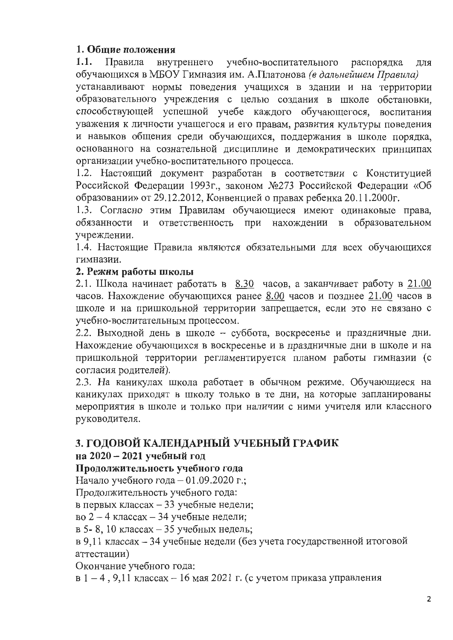# 1. Общие положения

 $1.1.$ внутреннего учебно-воспитательного Правила распорядка ДЛЯ обучающихся в МБОУ Гимназия им. А.Платонова (в дальнейшем Правила)

устанавливают нормы поведения учащихся в здании и на территории образовательного учреждения с целью создания в школе обстановки, способствующей успешной учебе каждого обучающегося, воспитания уважения к личности учащегося и его правам, развития культуры поведения и навыков общения среди обучающихся, поддержания в школе порядка, основанного на сознательной дисциплине и демократических принципах организации учебно-воспитательного процесса.

1.2. Настоящий документ разработан в соответствии с Конституцией Российской Федерации 1993г., законом №273 Российской Федерации «Об образовании» от 29.12.2012, Конвенцией о правах ребенка 20.11.2000г.

1.3. Согласно этим Правилам обучающиеся имеют одинаковые права, обязанности и ответственность нахождении при в образовательном учреждении.

1.4. Настоящие Правила являются обязательными для всех обучающихся гимназии.

### 2. Режим работы школы

2.1. Школа начинает работать в 8.30 часов, а заканчивает работу в 21.00 часов. Нахождение обучающихся ранее 8.00 часов и позднее 21.00 часов в школе и на пришкольной территории запрещается, если это не связано с учебно-воспитательным процессом.

2.2. Выходной день в школе - суббота, воскресенье и праздничные дни. Нахождение обучающихся в воскресенье и в праздничные дни в школе и на пришкольной территории регламентируется планом работы гимназии (с согласия родителей).

2.3. На каникулах школа работает в обычном режиме. Обучающиеся на каникулах приходят в школу только в те дни, на которые запланированы мероприятия в школе и только при наличии с ними учителя или классного руководителя.

# 3. ГОДОВОЙ КАЛЕНДАРНЫЙ УЧЕБНЫЙ ГРАФИК

# на 2020 - 2021 учебный год

## Продолжительность учебного года

Начало учебного года - 01.09.2020 г.;

Продолжительность учебного года:

в первых классах - 33 учебные недели;

во 2 - 4 классах - 34 учебные недели;

в 5-8, 10 классах - 35 учебных недель;

в 9,11 классах - 34 учебные недели (без учета государственной итоговой аттестации)

Окончание учебного года:

в 1 – 4, 9,11 классах – 16 мая 2021 г. (с учетом приказа управления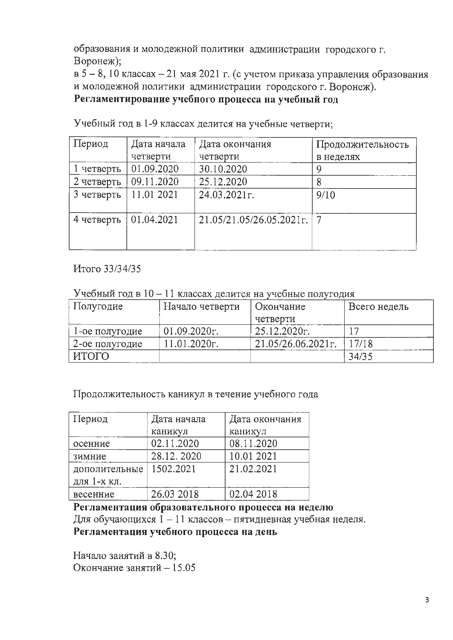образования и молодежной политики администрации городского г. Воронеж);

 $B$  5 - 8, 10 классах - 21 мая 2021 г. (с учетом приказа управления образования и молодежной политики администрации городского г. Воронеж).

Регламентирование учебного процесса на учебный год

| Период     | Дата начала | Дата окончания              | Продолжительность |  |  |  |
|------------|-------------|-----------------------------|-------------------|--|--|--|
|            | четверти    | четверти                    | в неделях         |  |  |  |
| 1 четверть | 01.09.2020  | 30.10.2020                  | 9                 |  |  |  |
| 2 четверть | 09.11.2020  | 25.12.2020                  |                   |  |  |  |
| 3 четверть | 11.01 2021  | 24.03.2021r.                | 9/10              |  |  |  |
| 4 четверть | 01.04.2021  | $21.05/21.05/26.05.2021$ r. | -7                |  |  |  |

Учебный год в 1-9 классах делится на учебные четверти;

Итого 33/34/35

Учебный год в 10 - 11 классах делится на учебные полугодия

| Полугодие           | Начало четверти | Окончание             | Всего недель |  |  |
|---------------------|-----------------|-----------------------|--------------|--|--|
|                     |                 | четверти              |              |  |  |
| l-ое полугодие      | 01.09.2020r.    | 25.12.2020r.          |              |  |  |
| 2-ое полугодие      | 11.01.2020r.    | $21.05/26.06.2021$ r. | 17/18        |  |  |
| <b><i>UTOFO</i></b> |                 |                       | 34/35        |  |  |

Продолжительность каникул в течение учебного года

| Период        | Дата начала | Дата окончания |  |  |  |  |
|---------------|-------------|----------------|--|--|--|--|
|               | каникул     | каникул        |  |  |  |  |
| осенние       | 02.11.2020  | 08.11.2020     |  |  |  |  |
| зимние        | 28.12.2020  | 10.01 2021     |  |  |  |  |
| дополительные | 1502.2021   | 21.02.2021     |  |  |  |  |
| для 1-х кл.   |             |                |  |  |  |  |
| весенние      | 26.03 2018  | 02.04 2018     |  |  |  |  |

Регламентация образовательного процесса на неделю

Для обучающихся 1 - 11 классов - пятидневная учебная неделя.

Регламентация учебного процесса на день

Начало занятий в 8.30; Окончание занятий - 15.05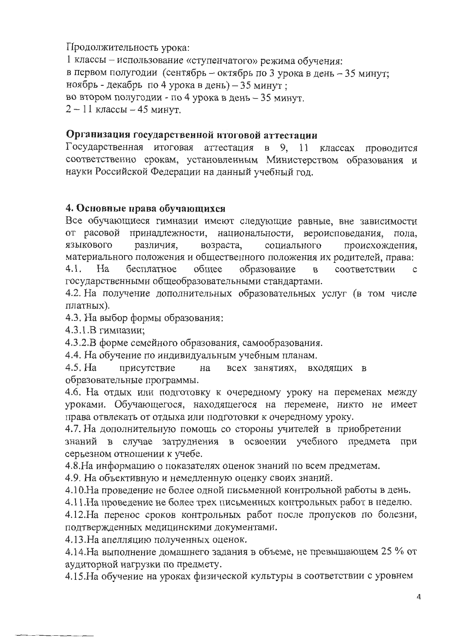Продолжительность урока:

1 классы - использование «ступенчатого» режима обучения: в первом полугодии (сентябрь - октябрь по 3 урока в день - 35 минут; ноябрь - декабрь по 4 урока в день) - 35 минут; во втором полугодии - по 4 урока в день - 35 минут.  $2 - 11$  классы  $-45$  минут.

### Организация государственной итоговой аттестации

Государственная итоговая аттестация в 9, 11 классах проводится соответственно срокам, установленным Министерством образования и науки Российской Федерации на данный учебный год.

#### 4. Основные права обучающихся

Все обучающиеся гимназии имеют следующие равные, вне зависимости от расовой принадлежности, национальности, вероисповедания, пола, языкового различия, возраста, социального происхождения, материального положения и общественного положения их родителей, права:

 $4.1.$ Ha бесплатное обшее образование соответствии  $\mathbf{B}$  $\mathbf{C}$ государственными общеобразовательными стандартами.

4.2. На получение дополнительных образовательных услуг (в том числе платных).

4.3. На выбор формы образования:

4.3.1.В гимназии;

4.3.2.В форме семейного образования, самообразования.

4.4. На обучение по индивидуальным учебным планам.

4.5. Ha присутствие всех занятиях, на входящих в образовательные программы.

4.6. На отдых или подготовку к очередному уроку на переменах между уроками. Обучающегося, находящегося на перемене, никто не имеет права отвлекать от отдыха или подготовки к очередному уроку.

4.7. На дополнительную помощь со стороны учителей в приобретении знаний в случае затруднения в освоении учебного предмета при серьезном отношении к учебе.

4.8. На информацию о показателях оценок знаний по всем предметам.

4.9. На объективную и немедленную оценку своих знаний.

4.10. На проведение не более одной письменной контрольной работы в день.

4.11. На проведение не более трех письменных контрольных работ в неделю.

4.12. На перенос сроков контрольных работ после пропусков по болезни, подтвержденных медицинскими документами.

4.13. На апелляцию полученных оценок.

4.14. На выполнение домашнего задания в объеме, не превышающем 25 % от аудиторной нагрузки по предмету.

4.15. На обучение на уроках физической культуры в соответствии с уровнем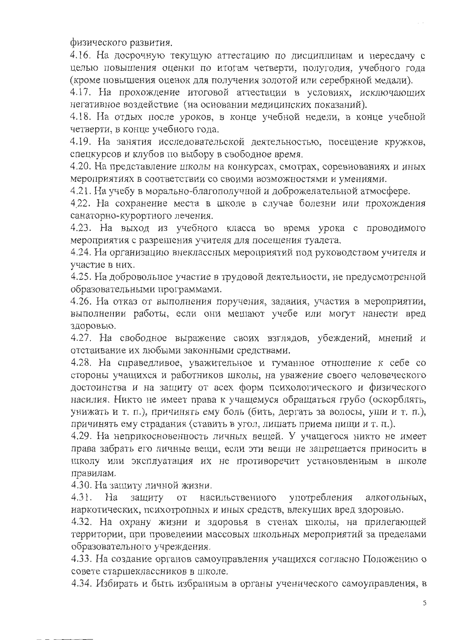физического развития.

4.16. На досрочную текущую аттестацию по дисциплинам и пересдачу с целью повышения оценки по итогам четверти, полугодия, учебного года (кроме повышения оценок для получения золотой или серебряной медали).

4.17. На прохождение итоговой аттестации в условиях, исключающих негативное воздействие (на основании медицинских показаний).

4.18. На отдых после уроков, в конце учебной недели, в конце учебной четверти, в конце учебного года.

4.19. На занятия исследовательской деятельностью, посещение кружков, спецкурсов и клубов по выбору в свободное время.

4.20. На представление школы на конкурсах, смотрах, соревнованиях и иных мероприятиях в соответствии со своими возможностями и умениями.

4.21. На учебу в морально-благополучной и доброжелательной атмосфере.

4.22. На сохранение места в школе в случае болезни или прохождения санаторно-курортного лечения.

4.23. На выход из учебного класса во время урока с проводимого мероприятия с разрешения учителя для посещения туалета.

4.24. На организацию внеклассных мероприятий под руководством учителя и участие в них.

4.25. На добровольное участие в трудовой деятельности, не предусмотренной образовательными программами.

4.26. На отказ от выполнения поручения, задания, участия в мероприятии, выполнении работы, если они мешают учебе или могут нанести вред здоровью.

4.27. На свободное выражение своих взглядов, убеждений, мнений и отстаивание их любыми законными средствами.

4.28. На справедливое, уважительное и гуманное отношение к себе со стороны учащихся и работников школы, на уважение своего человеческого достоинства и на защиту от всех форм психологического и физического насилия. Никто не имеет права к учащемуся обращаться грубо (оскорблять, унижать и т. п.), причинять ему боль (бить, дергать за волосы, уши и т. п.), причинять ему страдания (ставить в угол, лишать приема пищи и т. п.).

4.29. На неприкосновенность личных вещей. У учащегося никто не имеет права забрать его личные вещи, если эти вещи не запрещается приносить в школу или эксплуатация их не противоречит установленным в школе правилам.

4.30. На защиту личной жизни.

 $4.31.$ Ha защиту **OT** насильственного употребления алкогольных, наркотических, психотропных и иных средств, влекущих вред здоровью.

4.32. На охрану жизни и здоровья в стенах школы, на прилегающей территории, при проведении массовых школьных мероприятий за пределами образовательного учреждения.

4.33. На создание органов самоуправления учащихся согласно Положению о совете старшеклассников в школе.

4.34. Избирать и быть избранным в органы ученического самоуправления, в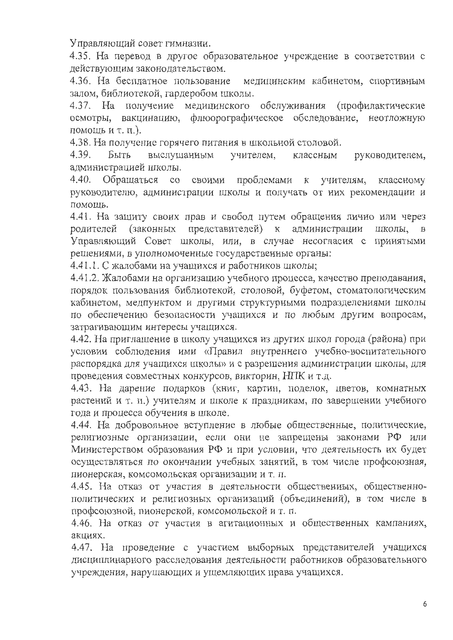Управляющий совет гимназии.

4.35. На перевод в другое образовательное учреждение в соответствии с действующим законодательством.

4.36. На бесплатное пользование медицинским кабинетом, спортивным залом, библиотекой, гардеробом школы.

4.37. На получение медицинского обслуживания (профилактические осмотры, вакцинацию, флюорографическое обследование, неотложную помощь и т. п.).

4.38. На получение горячего питания в школьной столовой.

Быть 4.39. выслушанным учителем, классным руководителем, администрацией школы.

Обращаться со своими проблемами к учителям, 4.40. классному руководителю, администрации школы и получать от них рекомендации и помощь.

4.41. На защиту своих прав и свобод путем обращения лично или через родителей (законных представителей) к администрации школы.  $\mathbf{B}$ Управляющий Совет школы, или, в случае несогласия с принятыми решениями, в уполномоченные государственные органы:

4.41.1. С жалобами на учащихся и работников школы;

4.41.2. Жалобами на организацию учебного процесса, качество преподавания, порядок пользования библиотекой, столовой, буфетом, стоматологическим кабинетом, медпунктом и другими структурными подразделениями школы по обеспечению безопасности учащихся и по любым другим вопросам, затрагивающим интересы учащихся.

4.42. На приглашение в школу учащихся из других школ города (района) при условии соблюдения ими «Правил внутреннего учебно-воспитательного распорядка для учащихся школы» и с разрешения администрации школы, для проведения совместных конкурсов, викторин, НПК и т.д.

4.43. На дарение подарков (книг, картин, поделок, цветов, комнатных растений и т. п.) учителям и школе к праздникам, по завершении учебного года и процесса обучения в школе.

4.44. На добровольное вступление в любые общественные, политические, религиозные организации, если они не запрещены законами РФ или Министерством образования РФ и при условии, что деятельность их будет осуществляться по окончании учебных занятий, в том числе профсоюзная, пионерская, комсомольская организации и т. п.

4.45. На отказ от участия в деятельности общественных, общественнополитических и религиозных организаций (объединений), в том числе в профсоюзной, пионерской, комсомольской и т. п.

4.46. На отказ от участия в агитационных и общественных кампаниях, акциях.

4.47. На проведение с участием выборных представителей учащихся дисциплинарного расследования деятельности работников образовательного учреждения, нарушающих и ущемляющих права учащихся.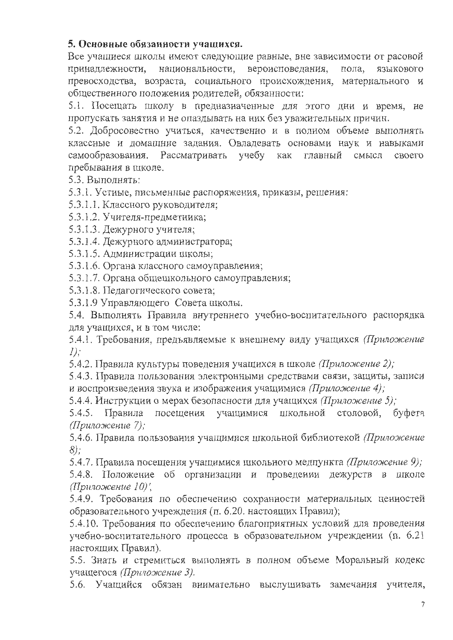# 5. Основные обязанности учащихся.

Все учащиеся школы имеют следующие равные, вне зависимости от расовой принадлежности. национальности, вероисповедания, пола, языкового превосходства, возраста, социального происхождения, материального и общественного положения родителей, обязанности:

5.1. Посещать школу в предназначенные для этого дни и время, не пропускать занятия и не опаздывать на них без уважительных причин.

5.2. Добросовестно учиться, качественно и в полном объеме выполнять классные и домашние задания. Овладевать основами наук и навыками самообразования. Рассматривать учебу как главный смысл своего пребывания в школе.

5.3. Выполнять:

5.3.1. Устные, письменные распоряжения, приказы, решения:

5.3.1.1. Классного руководителя;

5.3.1.2. Учителя-предметника;

5.3.1.3. Дежурного учителя;

5.3.1.4. Дежурного администратора;

5.3.1.5. Администрации школы;

5.3.1.6. Органа классного самоуправления;

5.3.1.7. Органа общешкольного самоуправления;

5.3.1.8. Педагогического совета;

5.3.1.9 Управляющего Совета школы.

5.4. Выполнять Правила внутреннего учебно-воспитательного распорядка для учащихся, и в том числе:

5.4.1. Требования, предъявляемые к внешнему виду учащихся (Приложение  $I)$ :

5.4.2. Правила культуры поведения учащихся в школе (Приложение 2);

5.4.3. Правила пользования электронными средствами связи, защиты, записи и воспроизведения звука и изображения учащимися (Приложение 4);

5.4.4. Инструкции о мерах безопасности для учащихся (Приложение 5);

Правила учащимися школьной столовой, буфета  $5.4.5.$ посещения (Приложение 7);

5.4.6. Правила пользования учащимися школьной библиотекой (Приложение  $8)$ ;

5.4.7. Правила посещения учащимися школьного медпункта (Приложение 9);

5.4.8. Положение об организации и проведении дежурств в школе (Приложение 10)',

5.4.9. Требования по обеспечению сохранности материальных ценностей образовательного учреждения (п. 6.20. настоящих Правил);

5.4.10. Требования по обеспечению благоприятных условий для проведения учебно-воспитательного процесса в образовательном учреждении (п. 6.21 настоящих Правил).

5.5. Знать и стремиться выполнять в полном объеме Моральный кодекс учащегося (Приложение 3).

5.6. Учащийся обязан внимательно выслушивать замечания учителя,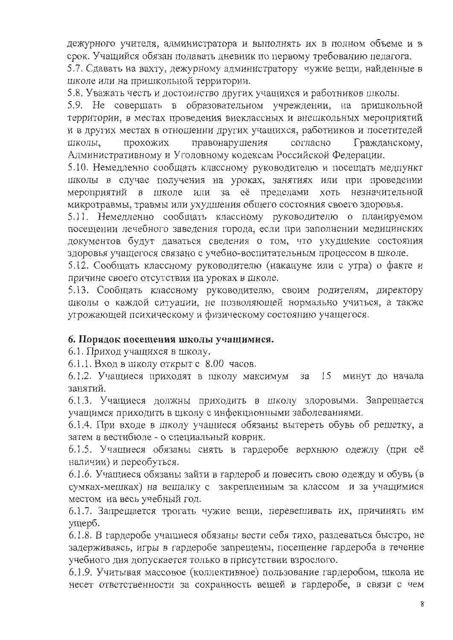дежурного учителя, администратора и выполнять их в полном объеме и в срок. Учащийся обязан подавать дневник по первому требованию педагога.

5.7. Сдавать на вахту, дежурному администратору чужие вещи, найденные в школе или на пришкольной территории.

5.8. Уважать честь и достоинство других учащихся и работников школы.

5.9. Не совершать в образовательном учреждении, на пришкольной территории, в местах проведения внеклассных и внешкольных мероприятий и в других местах в отношении других учащихся, работников и посетителей ШКОЛЫ, прохожих правонарушения согласно Гражданскому, Административному и Уголовному кодексам Российской Федерации.

5.10. Немедленно сообщать классному руководителю и посещать медпункт школы в случае получения на уроках, занятиях или при проведении мероприятий в школе или за её пределами хоть незначительной микротравмы, травмы или ухудшения общего состояния своего здоровья.

5.11. Немедленно сообщать классному руководителю о планируемом посещении лечебного заведения города, если при заполнении медицинских документов будут даваться сведения о том, что ухудшение состояния здоровья учащегося связано с учебно-воспитательным процессом в школе.

5.12. Сообщать классному руководителю (накануне или с утра) о факте и причине своего отсутствия на уроках в школе.

5.13. Сообщать классному руководителю, своим родителям, директору школы о каждой ситуации, не позволяющей нормально учиться, а также угрожающей психическому и физическому состоянию учащегося.

### 6. Порядок посещения школы учащимися.

6.1. Приход учащихся в школу.

6.1.1. Вход в школу открыт с 8.00 часов.

6.1.2. Учащиеся приходят в школу максимум за 15 минут до начала занятий.

6.1.3. Учащиеся должны приходить в школу здоровыми. Запрещается учащимся приходить в школу с инфекционными заболеваниями.

6.1.4. При входе в школу учащиеся обязаны вытереть обувь об решетку, а затем в вестибюле - о специальный коврик.

6.1.5. Учащиеся обязаны снять в гардеробе верхнюю одежду (при её наличии) и переобуться.

6.1.6. Учащиеся обязаны зайти в гардероб и повесить свою одежду и обувь (в сумках-мешках) на вешалку с закрепленным за классом и за учащимися местом на весь учебный год.

6.1.7. Запрещается трогать чужие вещи, перевешивать их, причинять им ущерб.

6.1.8. В гардеробе учащиеся обязаны вести себя тихо, раздеваться быстро, не задерживаясь, игры в гардеробе запрещены, посещение гардероба в течение учебного дня допускается только в присутствии взрослого.

6.1.9. Учитывая массовое (коллективное) пользование гардеробом, школа не несет ответственности за сохранность вещей в гардеробе, в связи с чем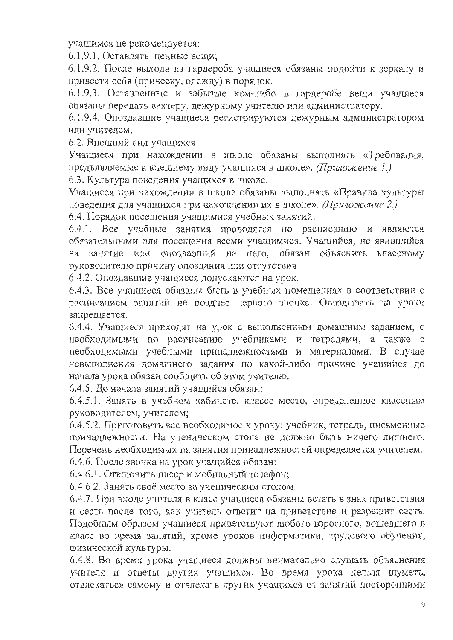учащимся не рекомендуется:

6.1.9.1. Оставлять ценные вещи:

6.1.9.2. После выхода из гардероба учащиеся обязаны подойти к зеркалу и привести себя (прическу, одежду) в порядок.

6.1.9.3. Оставленные и забытые кем-либо в гардеробе вещи учащиеся обязаны передать вахтеру, дежурному учителю или администратору.

6.1.9.4. Опоздавшие учащиеся регистрируются дежурным администратором или учителем.

6.2. Внешний вид учащихся.

Учащиеся при нахождении в школе обязаны выполнять «Требования, предъявляемые к внешнему виду учащихся в школе». (Приложение 1.)

6.3. Культура поведения учащихся в школе.

Учащиеся при нахождении в школе обязаны выполнять «Правила культуры поведения для учащихся при нахождении их в школе». (Приложение 2.)

6.4. Порядок посещения учащимися учебных занятий.

6.4.1. Все учебные занятия проводятся по расписанию и являются обязательными для посещения всеми учащимися. Учащийся, не явившийся на занятие или опоздавший на него, обязан объяснить классному руководителю причину опоздания или отсутствия.

6.4.2. Опоздавшие учащиеся допускаются на урок.

6.4.3. Все учащиеся обязаны быть в учебных помещениях в соответствии с расписанием занятий не позднее первого звонка. Опаздывать на уроки запрещается.

6.4.4. Учащиеся приходят на урок с выполненным домашним заданием, с необходимыми по расписанию учебниками и тетрадями, а также с необходимыми учебными принадлежностями и материалами. В случае невыполнения домашнего задания по какой-либо причине учащийся до начала урока обязан сообщить об этом учителю.

6.4.5. До начала занятий учащийся обязан:

6.4.5.1. Занять в учебном кабинете, классе место, определенное классным руководителем, учителем;

6.4.5.2. Приготовить все необходимое к уроку: учебник, тетрадь, письменные принадлежности. На ученическом столе не должно быть ничего лишнего. Перечень необходимых на занятии принадлежностей определяется учителем.

6.4.6. После звонка на урок учащийся обязан:

6.4.6.1. Отключить плеер и мобильный телефон;

6.4.6.2. Занять своё место за ученическим столом.

6.4.7. При входе учителя в класс учащиеся обязаны встать в знак приветствия и сесть после того, как учитель ответит на приветствие и разрешит сесть. Подобным образом учащиеся приветствуют любого взрослого, вошедшего в класс во время занятий, кроме уроков информатики, трудового обучения, физической культуры.

6.4.8. Во время урока учащиеся должны внимательно слушать объяснения учителя и ответы других учащихся. Во время урока нельзя шуметь, отвлекаться самому и отвлекать других учащихся от занятий посторонними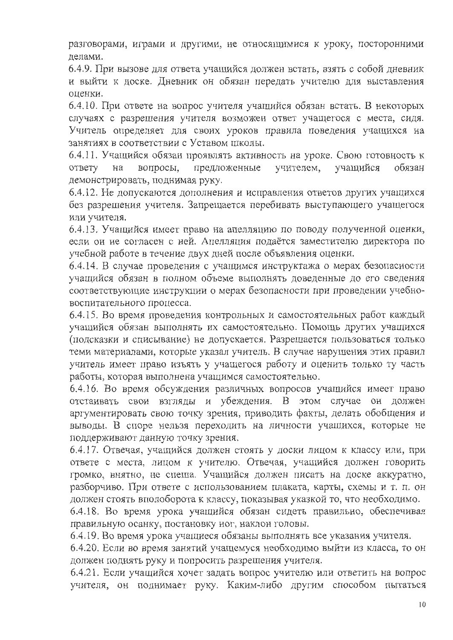разговорами, играми и другими, не относящимися к уроку, посторонними делами.

6.4.9. При вызове для ответа учащийся должен встать, взять с собой дневник и выйти к доске. Дневник он обязан передать учителю для выставления опенки.

6.4.10. При ответе на вопрос учителя учащийся обязан встать. В некоторых случаях с разрешения учителя возможен ответ учащегося с места, сидя. Учитель определяет для своих уроков правила поведения учащихся на занятиях в соответствии с Уставом школы.

6.4.11. Учащийся обязан проявлять активность на уроке. Свою готовность к предложенные вопросы, учителем, учащийся обязан ответу на демонстрировать, поднимая руку.

6.4.12. Не допускаются дополнения и исправления ответов других учащихся без разрешения учителя. Запрещается перебивать выступающего учащегося или учителя.

6.4.13. Учащийся имеет право на апелляцию по поводу полученной оценки, если он не согласен с ней. Апелляция подаётся заместителю директора по учебной работе в течение двух дней после объявления оценки.

6.4.14. В случае проведения с учащимся инструктажа о мерах безопасности учащийся обязан в полном объеме выполнять доведенные до его сведения соответствующие инструкции о мерах безопасности при проведении учебновоспитательного процесса.

6.4.15. Во время проведения контрольных и самостоятельных работ каждый учащийся обязан выполнять их самостоятельно. Помощь других учащихся (подсказки и списывание) не допускается. Разрешается пользоваться только теми материалами, которые указал учитель. В случае нарушения этих правил учитель имеет право изъять у учащегося работу и оценить только ту часть работы, которая выполнена учащимся самостоятельно.

6.4.16. Во время обсуждения различных вопросов учащийся имеет право отстаивать свои взгляды и убеждения. В этом случае он должен аргументировать свою точку зрения, приводить факты, делать обобщения и выводы. В споре нельзя переходить на личности учащихся, которые не поддерживают данную точку зрения.

6.4.17. Отвечая, учащийся должен стоять у доски лицом к классу или, при ответе с места, лицом к учителю. Отвечая, учащийся должен говорить громко, внятно, не спеша. Учащийся должен писать на доске аккуратно, разборчиво. При ответе с использованием плаката, карты, схемы и т. п. он должен стоять вполоборота к классу, показывая указкой то, что необходимо.

6.4.18. Во время урока учащийся обязан сидеть правильно, обеспечивая правильную осанку, постановку ног, наклон головы.

6.4.19. Во время урока учащиеся обязаны выполнять все указания учителя.

6.4.20. Если во время занятий учащемуся необходимо выйти из класса, то он должен поднять руку и попросить разрешения учителя.

6.4.21. Если учащийся хочет задать вопрос учителю или ответить на вопрос учителя, он поднимает руку. Каким-либо другим способом пытаться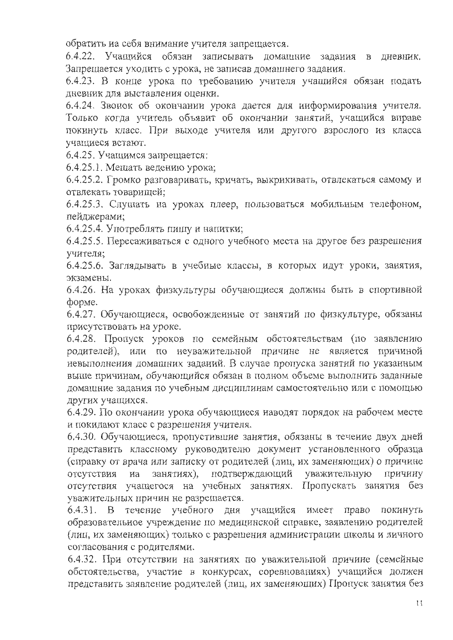обратить на себя внимание учителя запрещается.

6.4.22. Учащийся обязан записывать домашние задания в дневник. Запрещается уходить с урока, не записав домашнего задания.

6.4.23. В конце урока по требованию учителя учащийся обязан подать дневник для выставления оценки.

6.4.24. Звонок об окончании урока дается для информирования учителя. Только когда учитель объявит об окончании занятий, учащийся вправе покинуть класс. При выходе учителя или другого взрослого из класса учащиеся встают.

6.4.25. Учащимся запрещается:

6.4.25.1. Мешать ведению урока;

6.4.25.2. Громко разговаривать, кричать, выкрикивать, отвлекаться самому и отвлекать товарищей;

6.4.25.3. Слушать на уроках плеер, пользоваться мобильным телефоном, пейджерами;

6.4.25.4. Употреблять пишу и напитки;

6.4.25.5. Пересаживаться с одного учебного места на другое без разрешения учителя;

6.4.25.6. Заглядывать в учебные классы, в которых идут уроки, занятия, экзамены.

6.4.26. На уроках физкультуры обучающиеся должны быть в спортивной  $\phi$ opme.

6.4.27. Обучающиеся, освобожденные от занятий по физкультуре, обязаны присутствовать на уроке.

6.4.28. Пропуск уроков по семейным обстоятельствам (по заявлению родителей), или по неуважительной причине не является причиной невыполнения домашних заданий. В случае пропуска занятий по указанным выше причинам, обучающийся обязан в полном объеме выполнить заданные домашние задания по учебным дисциплинам самостоятельно или с помощью других учащихся.

6.4.29. По окончании урока обучающиеся наводят порядок на рабочем месте и покидают класс с разрешения учителя.

6.4.30. Обучающиеся, пропустившие занятия, обязаны в течение двух дней представить классному руководителю документ установленного образца (справку от врача или записку от родителей (лиц, их заменяющих) о причине на занятиях), подтверждающий уважительную отсутствия причину отсутствия учащегося на учебных занятиях. Пропускать занятия без уважительных причин не разрешается.

6.4.31. В течение учебного дня учащийся имеет право покинуть образовательное учреждение по медицинской справке, заявлению родителей (лиц, их заменяющих) только с разрешения администрации школы и личного согласования с родителями.

6.4.32. При отсутствии на занятиях по уважительной причине (семейные обстоятельства, участие в конкурсах, соревнованиях) учащийся должен представить заявление родителей (лиц, их заменяющих) Пропуск занятия без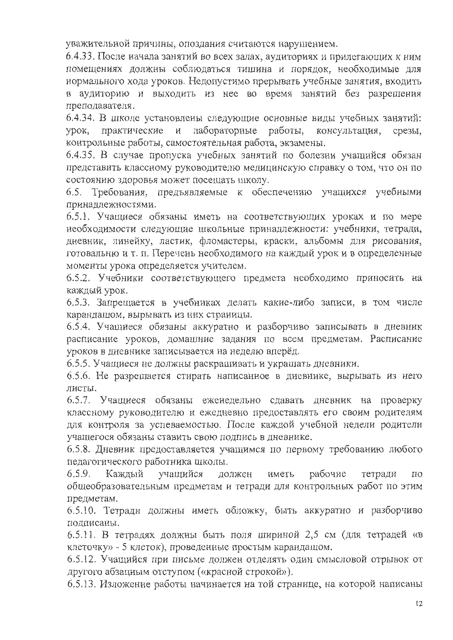уважительной причины, опоздания считаются нарушением.

6.4.33. После начала занятий во всех залах, аудиториях и прилегающих к ним помещениях должны соблюдаться тишина и порядок, необходимые для нормального хода уроков. Недопустимо прерывать учебные занятия, входить в аудиторию и выходить из нее во время занятий без разрешения преподавателя.

6.4.34. В школе установлены следующие основные виды учебных занятий: лабораторные работы, практические и консультация, VDOK. срезы. контрольные работы, самостоятельная работа, экзамены.

6.4.35. В случае пропуска учебных занятий по болезни учащийся обязан представить классному руководителю медицинскую справку о том, что он по состоянию здоровья может посещать школу.

6.5. Требования, предъявляемые к обеспечению учащихся учебными принадлежностями.

6.5.1. Учащиеся обязаны иметь на соответствующих уроках и по мере необходимости следующие школьные принадлежности: учебники, тетради, дневник, линейку, ластик, фломастеры, краски, альбомы для рисования, готовальню и т. п. Перечень необходимого на каждый урок и в определенные моменты урока определяется учителем.

6.5.2. Учебники соответствующего предмета необходимо приносить на каждый урок.

6.5.3. Запрещается в учебниках делать какие-либо записи, в том числе карандашом, вырывать из них страницы.

6.5.4. Учащиеся обязаны аккуратно и разборчиво записывать в дневник расписание уроков, домашние задания по всем предметам. Расписание уроков в дневнике записывается на неделю вперёд.

6.5.5. Учащиеся не должны раскрашивать и украшать дневники.

6.5.6. Не разрешается стирать написанное в дневнике, вырывать из него листы.

6.5.7. Учащиеся обязаны еженедельно сдавать дневник на проверку классному руководителю и ежедневно предоставлять его своим родителям для контроля за успеваемостью. После каждой учебной недели родители учащегося обязаны ставить свою подпись в дневнике.

6.5.8. Дневник предоставляется учащимся по первому требованию любого педагогического работника школы.

 $6.5.9.$ Кажлый учащийся рабочие лолжен иметь тетради  $\overline{110}$ общеобразовательным предметам и тетради для контрольных работ по этим предметам.

6.5.10. Тетради должны иметь обложку, быть аккуратно и разборчиво подписаны.

6.5.11. В тетрадях должны быть поля шириной 2,5 см (для тетрадей «в клеточку» - 5 клеток), проведенные простым карандашом.

6.5.12. Учащийся при письме должен отделять один смысловой отрывок от другого абзацным отступом («красной строкой»).

6.5.13. Изложение работы начинается на той странице, на которой написаны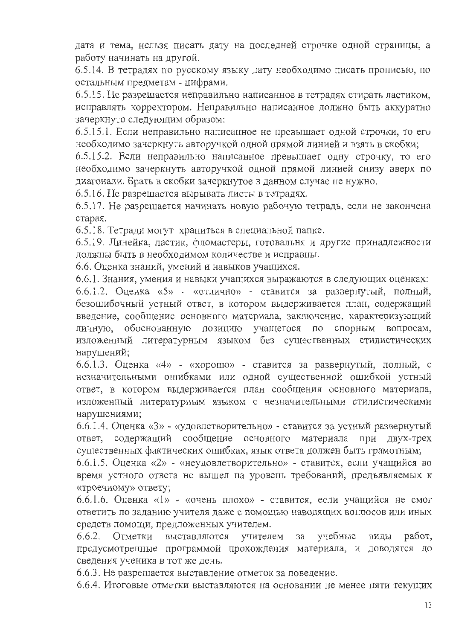дата и тема, нельзя писать дату на последней строчке одной страницы, а работу начинать на другой.

6.5.14. В тетрадях по русскому языку дату необходимо писать прописью, по остальным предметам - цифрами.

6.5.15. Не разрешается неправильно написанное в тетрадях стирать ластиком, исправлять корректором. Неправильно написанное должно быть аккуратно зачеркнуто следующим образом:

6.5.15.1. Если неправильно написанное не превышает одной строчки, то его необходимо зачеркнуть авторучкой одной прямой линией и взять в скобки;

6.5.15.2. Если неправильно написанное превышает одну строчку, то его необходимо зачеркнуть авторучкой одной прямой линией снизу вверх по диагонали. Брать в скобки зачеркнутое в данном случае не нужно.

6.5.16. Не разрешается вырывать листы в тетрадях.

6.5.17. Не разрешается начинать новую рабочую тетрадь, если не закончена старая.

6.5.18. Тетради могут храниться в специальной папке.

6.5.19. Линейка, ластик, фломастеры, готовальня и другие принадлежности должны быть в необходимом количестве и исправны.

6.6. Оценка знаний, умений и навыков учащихся.

6.6.1. Знания, умения и навыки учащихся выражаются в следующих оценках:

 $6.6.1.2$ . Оценка «5» - «отлично» - ставится за развернутый, полный, безошибочный устный ответ, в котором выдерживается план, содержащий введение, сообщение основного материала, заключение, характеризующий личную, обоснованную позицию учащегося по спорным вопросам, изложенный литературным языком без существенных стилистических нарушений;

6.6.1.3. Оценка «4» - «хорошо» - ставится за развернутый, полный, с незначительными ошибками или одной существенной ошибкой устный ответ, в котором выдерживается план сообщения основного материала, изложенный литературным языком с незначительными стилистическими нарушениями;

6.6.1.4. Оценка «3» - «удовлетворительно» - ставится за устный развернутый ответ, содержащий сообщение основного материала при двух-трех существенных фактических ошибках, язык ответа должен быть грамотным;

6.6.1.5. Оценка «2» - «неудовлетворительно» - ставится, если учащийся во время устного ответа не вышел на уровень требований, предъявляемых к «троечному» ответу;

6.6.1.6. Оценка «1» - «очень плохо» - ставится, если учащийся не смог ответить по заданию учителя даже с помощью наводящих вопросов или иных средств помощи, предложенных учителем.

учебные  $6.6.2.$  Отметки выставляются учителем за виды работ, предусмотренные программой прохождения материала, и доводятся до сведения ученика в тот же день.

6.6.3. Не разрешается выставление отметок за поведение.

6.6.4. Итоговые отметки выставляются на основании не менее пяти текущих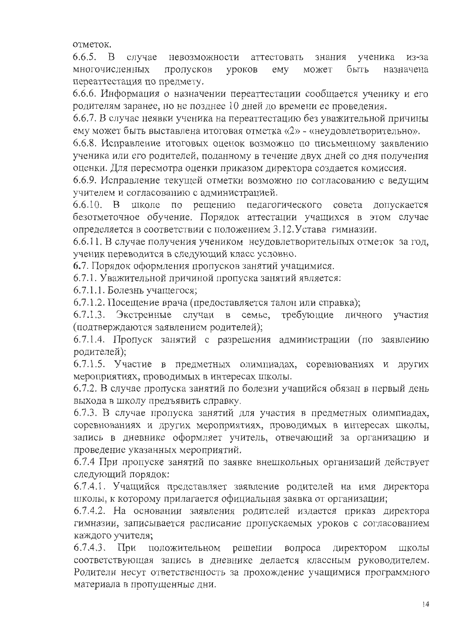отметок.

 $6.6.5. B$ случае невозможности аттестовать ученика знания из-за многочисленных пропусков уроков быть emy может назначена переаттестация по предмету.

6.6.6. Информация о назначении переаттестации сообщается ученику и его родителям заранее, но не позднее 10 дней до времени ее проведения.

6.6.7. В случае неявки ученика на переаттестацию без уважительной причины ему может быть выставлена итоговая отметка «2» - «неудовлетворительно».

6.6.8. Исправление итоговых оценок возможно по письменному заявлению ученика или его родителей, поданному в течение двух дней со дня получения оценки. Для пересмотра оценки приказом директора создается комиссия.

6.6.9. Исправление текущей отметки возможно по согласованию с ведущим учителем и согласованию с администрацией.

6.6.10. В школе по решению педагогического совета допускается безотметочное обучение. Порядок аттестации учащихся в этом случае определяется в соответствии с положением 3.12. Устава гимназии.

6.6.11. В случае получения учеником неудовлетворительных отметок за год, ученик переводится в следующий класс условно.

6.7. Порядок оформления пропусков занятий учащимися.

6.7.1. Уважительной причиной пропуска занятий является:

6.7.1.1. Болезнь учащегося;

6.7.1.2. Посещение врача (предоставляется талон или справка);

6.7.1.3. Экстренные случаи в семье, требующие личного участия (подтверждаются заявлением родителей);

6.7.1.4. Пропуск занятий с разрешения администрации (по заявлению родителей);

6.7.1.5. Участие в предметных олимпиадах, соревнованиях и других мероприятиях, проводимых в интересах школы.

6.7.2. В случае пропуска занятий по болезни учащийся обязан в первый день выхода в школу предъявить справку.

6.7.3. В случае пропуска занятий для участия в предметных олимпиадах, соревнованиях и других мероприятиях, проводимых в интересах школы, запись в дневнике оформляет учитель, отвечающий за организацию и проведение указанных мероприятий.

6.7.4 При пропуске занятий по заявке внешкольных организаций действует следующий порядок:

6.7.4.1. Учащийся представляет заявление родителей на имя директора школы, к которому прилагается официальная заявка от организации;

6.7.4.2. На основании заявления родителей издается приказ директора гимназии, записывается расписание пропускаемых уроков с согласованием каждого учителя;

 $6.7.4.3.$  При положительном решении вопроса директором ШКОЛЫ соответствующая запись в дневнике делается классным руководителем. Родители несут ответственность за прохождение учащимися программного материала в пропущенные дни.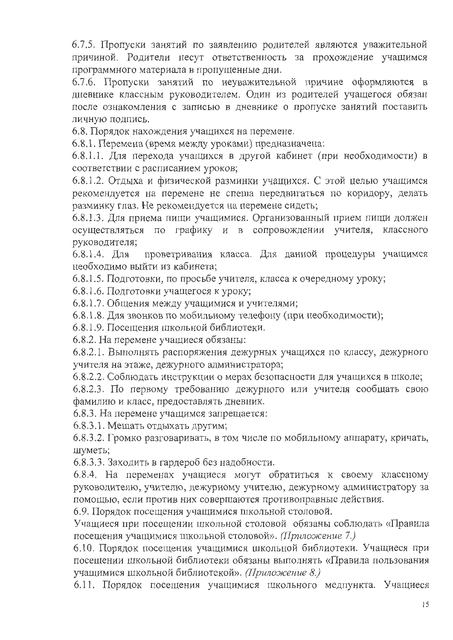6.7.5. Пропуски занятий по заявлению родителей являются уважительной причиной. Родители несут ответственность за прохождение учащимся программного материала в пропущенные дни.

6.7.6. Пропуски занятий по неуважительной причине оформляются в дневнике классным руководителем. Один из родителей учащегося обязан после ознакомления с записью в дневнике о пропуске занятий поставить личную подпись.

6.8. Порядок нахождения учащихся на перемене.

6.8.1. Перемена (время между уроками) предназначена:

6.8.1.1. Для перехода учащихся в другой кабинет (при необходимости) в соответствии с расписанием уроков;

6.8.1.2. Отдыха и физической разминки учащихся. С этой целью учащимся рекомендуется на перемене не спеша передвигаться по коридору, делать разминку глаз. Не рекомендуется на перемене сидеть;

6.8.1.3. Для приема пищи учащимися. Организованный прием пищи должен осуществляться по графику и в сопровождении учителя, классного руководителя;

проветривания класса. Для данной процедуры учащимся  $6.8.1.4.$  Для необходимо выйти из кабинета;

6.8.1.5. Подготовки, по просьбе учителя, класса к очередному уроку;

6.8.1.6. Подготовки учащегося к уроку;

6.8.1.7. Общения между учащимися и учителями;

6.8.1.8. Для звонков по мобильному телефону (при необходимости);

6.8.1.9. Посещения школьной библиотеки.

6.8.2. На перемене учащиеся обязаны:

6.8.2.1. Выполнять распоряжения дежурных учащихся по классу, дежурного учителя на этаже, дежурного администратора;

6.8.2.2. Соблюдать инструкции о мерах безопасности для учащихся в школе;

6.8.2.3. По первому требованию дежурного или учителя сообщать свою фамилию и класс, предоставлять дневник.

6.8.3. На перемене учащимся запрещается:

6.8.3.1. Мешать отдыхать другим;

6.8.3.2. Громко разговаривать, в том числе по мобильному аппарату, кричать, шуметь;

6.8.3.3. Заходить в гардероб без надобности.

6.8.4. На переменах учащиеся могут обратиться к своему классному руководителю, учителю, дежурному учителю, дежурному администратору за помощью, если против них совершаются противоправные действия.

6.9. Порядок посещения учащимися школьной столовой.

Учащиеся при посещении школьной столовой обязаны соблюдать «Правила посещения учащимися школьной столовой». (Приложение 7.)

6.10. Порядок посещения учащимися школьной библиотеки. Учащиеся при посещении школьной библиотеки обязаны выполнять «Правила пользования учащимися школьной библиотекой». (Приложение 8.)

6.11. Порядок посещения учащимися школьного медпункта. Учащиеся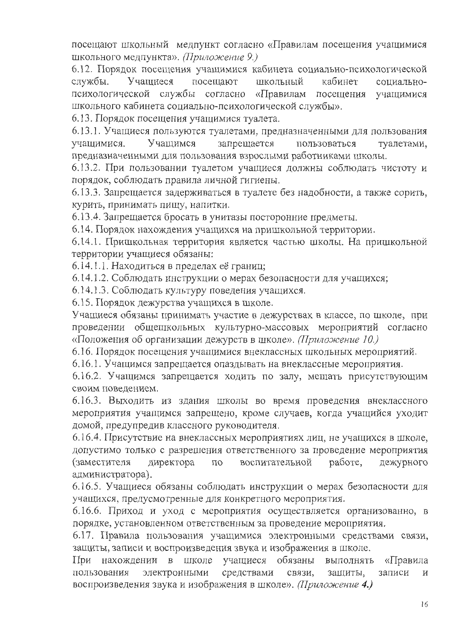посещают школьный медпункт согласно «Правилам посещения учащимися школьного медпункта». (Приложение 9.)

6.12. Порядок посещения учащимися кабинета социально-психологической службы. Учашиеся посещают школьный кабинет социальнопсихологической службы согласно «Правилам посещения учащимися школьного кабинета социально-психологической службы».

6.13. Порядок посещения учащимися туалета.

6.13.1. Учащиеся пользуются туалетами, предназначенными для пользования учащимися. Учащимся запрещается пользоваться туалетами. предназначенными для пользования взрослыми работниками школы.

6.13.2. При пользовании туалетом учащиеся должны соблюдать чистоту и порядок, соблюдать правила личной гигиены.

6.13.3. Запрещается задерживаться в туалете без надобности, а также сорить, курить, принимать пищу, напитки.

6.13.4. Запрещается бросать в унитазы посторонние предметы.

6.14. Порядок нахождения учащихся на пришкольной территории.

6.14.1. Пришкольная территория является частью школы. На пришкольной территории учащиеся обязаны:

6.14.1.1. Находиться в пределах её границ;

6.14.1.2. Соблюдать инструкции о мерах безопасности для учащихся;

6.14.1.3. Соблюдать культуру поведения учащихся.

6.15. Порядок дежурства учащихся в школе.

Учащиеся обязаны принимать участие в дежурствах в классе, по школе, при проведении общешкольных культурно-массовых мероприятий согласно «Положения об организации дежурств в школе». *(Приложение 10.)* 

6.16. Порядок посещения учащимися внеклассных школьных мероприятий.

6.16.1. Учащимся запрещается опаздывать на внеклассные мероприятия.

6.16.2. Учащимся запрещается ходить по залу, мешать присутствующим своим поведением.

6.16.3. Выходить из здания школы во время проведения внеклассного мероприятия учащимся запрещено, кроме случаев, когда учащийся уходит домой, предупредив классного руководителя.

6.16.4. Присутствие на внеклассных мероприятиях лиц, не учащихся в школе, допустимо только с разрешения ответственного за проведение мероприятия директора воспитательной работе, дежурного (заместителя ПO администратора).

6.16.5. Учащиеся обязаны соблюдать инструкции о мерах безопасности для учащихся, предусмотренные для конкретного мероприятия.

6.16.6. Приход и уход с мероприятия осуществляется организованно, в порядке, установленном ответственным за проведение мероприятия.

6.17. Правила пользования учащимися электронными средствами связи, защиты, записи и воспроизведения звука и изображения в школе.

в школе учащиеся обязаны выполнять «Правила При нахождении средствами связи, записи пользования электронными защиты, N. воспроизведения звука и изображения в школе». *(Приложение 4.)*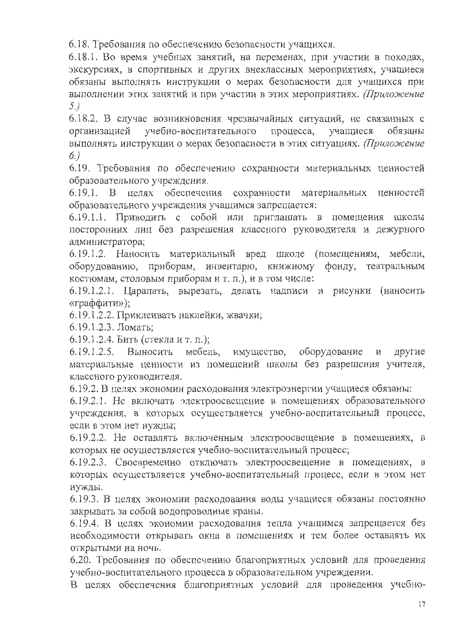6.18. Требования по обеспечению безопасности учащихся.

6.18.1. Во время учебных занятий, на переменах, при участии в походах, экскурсиях, в спортивных и других внеклассных мероприятиях, учащиеся обязаны выполнять инструкции о мерах безопасности для учащихся при выполнении этих занятий и при участии в этих мероприятиях. (Приложение  $5.$ 

6.18.2. В случае возникновения чрезвычайных ситуаций, не связанных с учащиеся учебно-воспитательного процесса, организацией обязаны выполнять инструкции о мерах безопасности в этих ситуациях. (Приложение  $6.)$ 

6.19. Требования по обеспечению сохранности материальных ценностей образовательного учреждения.

6.19.1. В целях обеспечения сохранности материальных ценностей образовательного учреждения учащимся запрещается:

6.19.1.1. Приводить с собой или приглашать в помещения школы посторонних лиц без разрешения классного руководителя и дежурного администратора;

6.19.1.2. Наносить материальный вред школе (помещениям, мебели, оборудованию, приборам, инвентарю, книжному фонду, театральным костюмам, столовым приборам и т. п.), и в том числе:

6.19.1.2.1. Царапать, вырезать, делать надписи и рисунки (наносить «граффити»);

6.19.1.2.2. Приклеивать наклейки, жвачки;

6.19.1.2.3. Ломать;

6.19.1.2.4. Бить (стекла и т. п.);

мебель, имущество, оборудование и 6.19.1.2.5. Выносить лругие материальные ценности из помещений школы без разрешения учителя, классного руководителя.

6.19.2. В целях экономии расходования электроэнергии учащиеся обязаны:

6.19.2.1. Не включать электроосвещение в помещениях образовательного учреждения, в которых осуществляется учебно-воспитательный процесс, если в этом нет нужды;

6.19.2.2. Не оставлять включенным электроосвещение в помещениях, в которых не осуществляется учебно-воспитательный процесс;

6.19.2.3. Своевременно отключать электроосвещение в помещениях, в которых осуществляется учебно-воспитательный процесс, если в этом нет нужды.

6.19.3. В целях экономии расходования воды учащиеся обязаны постоянно закрывать за собой водопроводные краны.

6.19.4. В целях экономии расходования тепла учащимся запрещается без необходимости открывать окна в помещениях и тем более оставлять их открытыми на ночь.

6.20. Требования по обеспечению благоприятных условий для проведения учебно-воспитательного процесса в образовательном учреждении.

В целях обеспечения благоприятных условий для проведения учебно-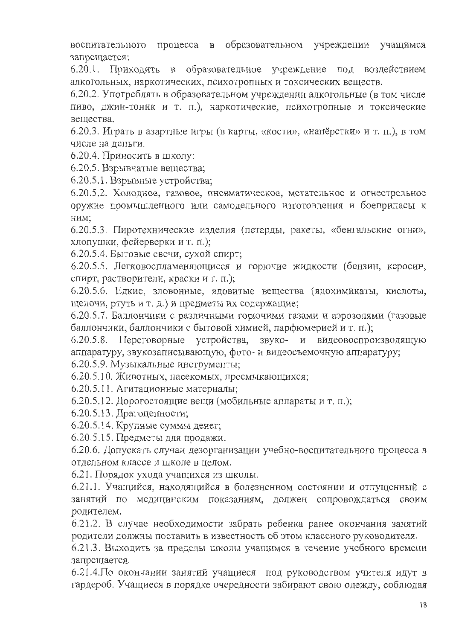процесса в образовательном учреждении учащимся воспитательного запрещается:

6.20.1. Приходить в образовательное учреждение под воздействием алкогольных, наркотических, психотропных и токсических веществ.

6.20.2. Употреблять в образовательном учреждении алкогольные (в том числе пиво, джин-тоник и т. п.), наркотические, психотропные и токсические вещества.

6.20.3. Играть в азартные игры (в карты, «кости», «напёрстки» и т. п.), в том числе на деньги.

6.20.4. Приносить в школу:

6.20.5. Взрывчатые вещества;

6.20.5.1. Взрывные устройства;

6.20.5.2. Холодное, газовое, пневматическое, метательное и огнестрельное оружие промышленного или самодельного изготовления и боеприпасы к ним:

6.20.5.3. Пиротехнические изделия (петарды, ракеты, «бенгальские огни», хлопушки, фейерверки и т. п.);

6.20.5.4. Бытовые свечи, сухой спирт;

6.20.5.5. Легковоспламеняющиеся и горючие жидкости (бензин, керосин, спирт, растворители, краски и т. п.);

6.20.5.6. Едкие, зловонные, ядовитые вещества (ядохимикаты, кислоты, щелочи, ртуть и т. д.) и предметы их содержащие;

6.20.5.7. Баллончики с различными горючими газами и аэрозолями (газовые баллончики, баллончики с бытовой химией, парфюмерией и т. п.);

6.20.5.8. Переговорные устройства, звуко- и видеовоспроизводящую аппаратуру, звукозаписывающую, фото- и видеосъемочную аппаратуру;

6.20.5.9. Музыкальные инструменты;

6.20.5.10. Животных, насекомых, пресмыкающихся;

6.20.5.11. Агитационные материалы;

6.20.5.12. Дорогостоящие вещи (мобильные аппараты и т. п.);

6.20.5.13. Драгоценности;

6.20.5.14. Крупные суммы денег;

6.20.5.15. Предметы для продажи.

6.20.6. Допускать случаи дезорганизации учебно-воспитательного процесса в отдельном классе и школе в целом.

6.21. Порядок ухода учащихся из школы.

6.21.1. Учащийся, находящийся в болезненном состоянии и отпущенный с занятий по медицинским показаниям, должен сопровождаться своим родителем.

6.21.2. В случае необходимости забрать ребенка ранее окончания занятий родители должны поставить в известность об этом классного руководителя.

6.21.3. Выходить за пределы школы учащимся в течение учебного времени запрещается.

6.21.4. По окончании занятий учащиеся под руководством учителя идут в гардероб. Учащиеся в порядке очередности забирают свою одежду, соблюдая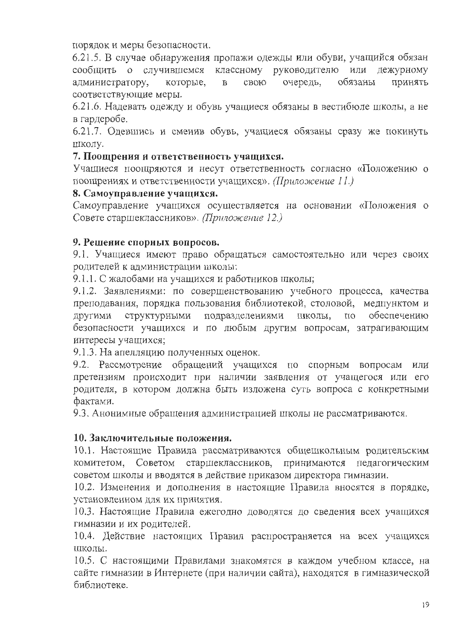порядок и меры безопасности.

6.21.5. В случае обнаружения пропажи одежды или обуви, учащийся обязан классному руководителю или дежурному сообщить о случившемся очередь, обязаны принять администратору, которые, свою  $\mathbf{B}$ соответствующие меры.

6.21.6. Надевать одежду и обувь учащиеся обязаны в вестибюле школы, а не в гардеробе.

6.21.7. Одевшись и сменив обувь, учащиеся обязаны сразу же покинуть ШКОЛУ.

### 7. Поощрения и ответственность учащихся.

Учащиеся поощряются и несут ответственность согласно «Положению о поощрениях и ответственности учащихся». (Приложение 11.)

### 8. Самоуправление учащихся.

Самоуправление учащихся осуществляется на основании «Положения о Совете старшеклассников». (Приложение 12.)

### 9. Решение спорных вопросов.

9.1. Учащиеся имеют право обращаться самостоятельно или через своих родителей к администрации школы:

9.1.1. С жалобами на учащихся и работников школы;

9.1.2. Заявлениями: по совершенствованию учебного процесса, качества преподавания, порядка пользования библиотекой, столовой, медпунктом и структурными подразделениями школы, по обеспечению ДРУГИМИ безопасности учащихся и по любым другим вопросам, затрагивающим интересы учащихся;

9.1.3. На апелляцию полученных оценок.

9.2. Рассмотрение обращений учащихся по спорным вопросам или претензиям происходит при наличии заявления от учащегося или его родителя, в котором должна быть изложена суть вопроса с конкретными фактами.

9.3. Анонимные обращения администрацией школы не рассматриваются.

### 10. Заключительные положения.

10.1. Настоящие Правила рассматриваются общешкольным родительским комитетом, Советом старшеклассников, принимаются педагогическим советом школы и вводятся в действие приказом директора гимназии.

10.2. Изменения и дополнения в настоящие Правила вносятся в порядке, установленном для их принятия.

10.3. Настоящие Правила ежегодно доводятся до сведения всех учащихся гимназии и их родителей.

10.4. Действие настоящих Правил распространяется на всех учащихся ШКОЛЫ.

10.5. С настоящими Правилами знакомятся в каждом учебном классе, на сайте гимназии в Интернете (при наличии сайта), находятся в гимназической библиотеке.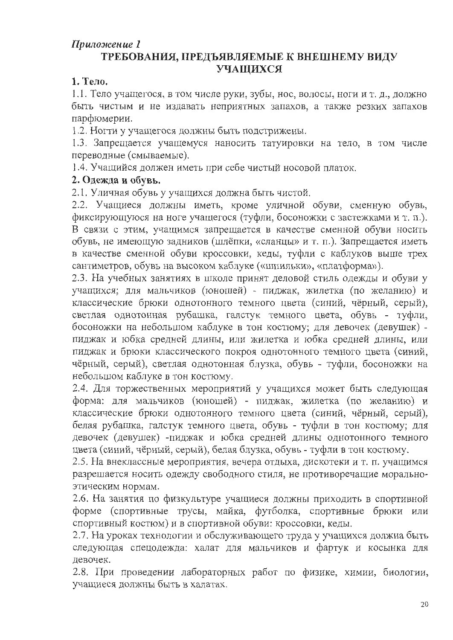# Приложение 1

# ТРЕБОВАНИЯ, ПРЕДЪЯВЛЯЕМЫЕ К ВНЕШНЕМУ ВИДУ УЧАЩИХСЯ

## 1. Тело.

1.1. Тело учащегося, в том числе руки, зубы, нос, волосы, ноги и т. д., должно быть чистым и не издавать неприятных запахов, а также резких запахов парфюмерии.

1.2. Ногти у учащегося должны быть подстрижены.

1.3. Запрещается учащемуся наносить татуировки на тело, в том числе переводные (смываемые).

1.4. Учащийся должен иметь при себе чистый носовой платок.

# 2. Одежда и обувь.

2.1. Уличная обувь у учащихся должна быть чистой.

2.2. Учащиеся должны иметь, кроме уличной обуви, сменную обувь, фиксирующуюся на ноге учащегося (туфли, босоножки с застежками и т. п.). В связи с этим, учащимся запрещается в качестве сменной обуви носить обувь, не имеющую задников (шлёпки, «сланцы» и т. п.). Запрещается иметь в качестве сменной обуви кроссовки, кеды, туфли с каблуков выше трех сантиметров, обувь на высоком каблуке («шпильки», «платформа»).

2.3. На учебных занятиях в школе принят деловой стиль одежды и обуви у учащихся; для мальчиков (юношей) - пиджак, жилетка (по желанию) и классические брюки однотонного темного цвета (синий, чёрный, серый), светлая однотонная рубашка, галстук темного цвета, обувь - туфли, босоножки на небольшом каблуке в тон костюму; для девочек (девушек) пиджак и юбка средней длины, или жилетка и юбка средней длины, или пиджак и брюки классического покроя однотонного темного цвета (синий, чёрный, серый), светлая однотонная блузка, обувь - туфли, босоножки на небольшом каблуке в тон костюму.

2.4. Для торжественных мероприятий у учащихся может быть следующая форма: для мальчиков (юношей) - пиджак, жилетка (по желанию) и классические брюки однотонного темного цвета (синий, чёрный, серый), белая рубашка, галстук темного цвета, обувь - туфли в тон костюму; для девочек (девушек) - пиджак и юбка средней длины однотонного темного цвета (синий, чёрный, серый), белая блузка, обувь - туфли в тон костюму.

2.5. На внеклассные мероприятия, вечера отдыха, дискотеки и т. п. учащимся разрешается носить одежду свободного стиля, не противоречащие моральноэтическим нормам.

2.6. На занятия по физкультуре учащиеся должны приходить в спортивной форме (спортивные трусы, майка, футболка, спортивные брюки или спортивный костюм) и в спортивной обуви: кроссовки, кеды.

2.7. На уроках технологии и обслуживающего труда у учащихся должна быть следующая спецодежда: халат для мальчиков и фартук и косынка для девочек.

2.8. При проведении лабораторных работ по физике, химии, биологии, учащиеся должны быть в халатах.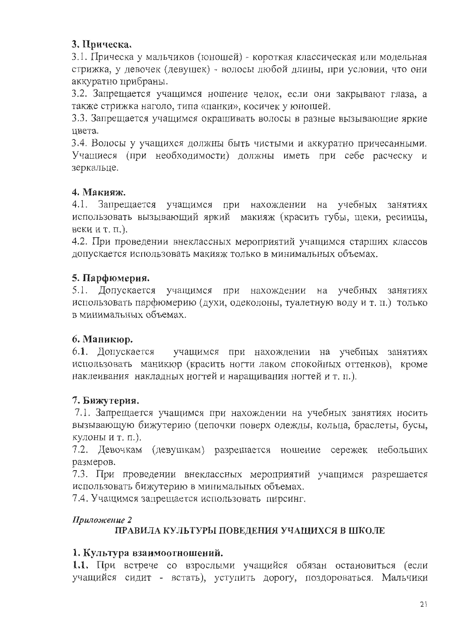# 3. Прическа.

3.1. Прическа у мальчиков (юношей) - короткая классическая или модельная стрижка, у девочек (девушек) - волосы любой длины, при условии, что они аккуратно прибраны.

3.2. Запрещается учащимся ношение челок, если они закрывают глаза, а также стрижка наголо, типа «панки», косичек у юношей.

3.3. Запрещается учащимся окрашивать волосы в разные вызывающие яркие ивета.

3.4. Волосы у учащихся должны быть чистыми и аккуратно причесанными. Учащиеся (при необходимости) должны иметь при себе расческу и зеркальце.

# 4. Макияж.

4.1. Запрещается учащимся при нахождении на учебных занятиях использовать вызывающий яркий макияж (красить губы, щеки, ресницы, веки и т. п.).

4.2. При проведении внеклассных мероприятий учащимся старших классов допускается использовать макияж только в минимальных объемах.

# 5. Парфюмерия.

5.1. Допускается учащимся при нахождении на учебных занятиях использовать парфюмерию (духи, одеколоны, туалетную воду и т. п.) только в минимальных объемах.

# 6. Маникюр.

6.1. Допускается учащимся при нахождении на учебных занятиях использовать маникюр (красить ногти лаком спокойных оттенков), кроме наклеивания накладных ногтей и наращивания ногтей и т. п.).

# 7. Бижутерия.

7.1. Запрещается учащимся при нахождении на учебных занятиях носить вызывающую бижутерию (цепочки поверх одежды, кольца, браслеты, бусы, кулоны и т. п.).

7.2. Девочкам (девушкам) разрешается ношение сережек небольших размеров.

7.3. При проведении внеклассных мероприятий учащимся разрешается использовать бижутерию в минимальных объемах.

7.4. Учащимся запрещается использовать пирсинг.

# Приложение 2

# ПРАВИЛА КУЛЬТУРЫ ПОВЕДЕНИЯ УЧАЩИХСЯ В ШКОЛЕ

# 1. Культура взаимоотношений.

1.1. При встрече со взрослыми учащийся обязан остановиться (если учащийся сидит - встать), уступить дорогу, поздороваться. Мальчики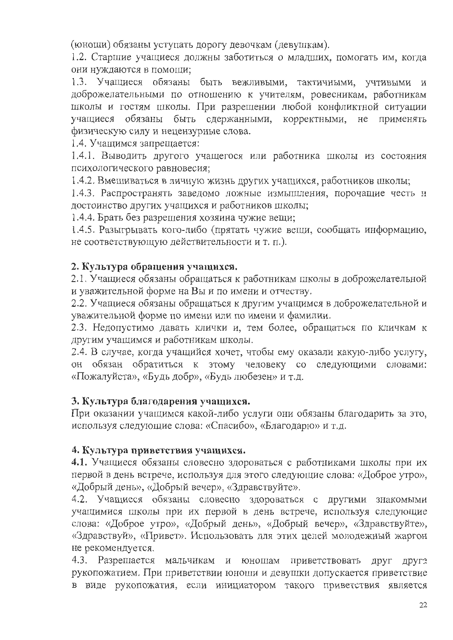(юноши) обязаны уступать дорогу девочкам (девушкам).

1.2. Старшие учащиеся должны заботиться о младших, помогать им, когда они нуждаются в помощи;

1.3. Учащиеся обязаны быть вежливыми, тактичными, учтивыми и доброжелательными по отношению к учителям, ровесникам, работникам школы и гостям школы. При разрешении любой конфликтной ситуации учащиеся обязаны быть сдержанными, корректными, не применять физическую силу и нецензурные слова.

1.4. Учащимся запрещается:

1.4.1. Выводить другого учащегося или работника школы из состояния психологического равновесия;

1.4.2. Вмешиваться в личную жизнь других учащихся, работников школы;

1.4.3. Распространять заведомо ложные измышления, порочащие честь и достоинство других учащихся и работников школы;

1.4.4. Брать без разрещения хозяина чужие вещи;

1.4.5. Разыгрывать кого-либо (прятать чужие вещи, сообщать информацию, не соответствующую действительности и т. п.).

# 2. Культура обращения учащихся.

2.1. Учащиеся обязаны обращаться к работникам школы в доброжелательной и уважительной форме на Вы и по имени и отчеству.

2.2. Учащиеся обязаны обращаться к другим учащимся в доброжелательной и уважительной форме по имени или по имени и фамилии.

2.3. Недопустимо давать клички и, тем более, обращаться по кличкам к другим учащимся и работникам школы.

2.4. В случае, когда учащийся хочет, чтобы ему оказали какую-либо услугу, он обязан обратиться к этому человеку со следующими словами: «Пожалуйста», «Будь добр», «Будь любезен» и т.д.

# 3. Культура благодарения учащихся.

При оказании учащимся какой-либо услуги они обязаны благодарить за это, используя следующие слова: «Спасибо», «Благодарю» и т.д.

# 4. Культура приветствия учащихся.

4.1. Учащиеся обязаны словесно здороваться с работниками школы при их первой в день встрече, используя для этого следующие слова: «Доброе утро», «Добрый день», «Добрый вечер», «Здравствуйте».

4.2. Учащиеся обязаны словесно здороваться с другими знакомыми учащимися школы при их первой в день встрече, используя следующие слова: «Доброе утро», «Добрый день», «Добрый вечер», «Здравствуйте», «Здравствуй», «Привет». Использовать для этих целей молодежный жаргон не рекомендуется.

4.3. Разрешается мальчикам и юношам приветствовать друг друга рукопожатием. При приветствии юноши и девушки допускается приветствие в виде рукопожатия, если инициатором такого приветствия является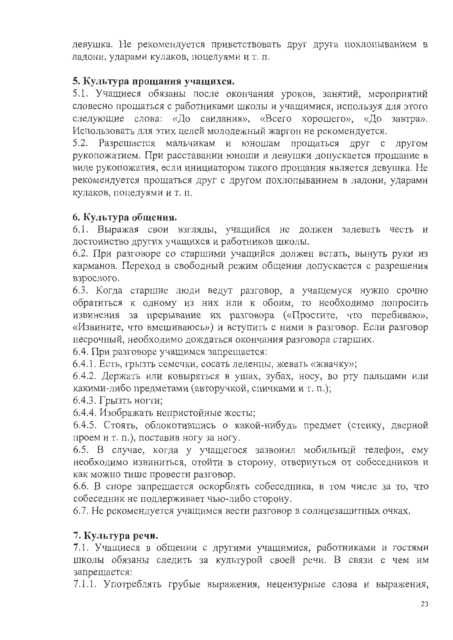девушка. Не рекомендуется приветствовать друг друга похлопыванием в ладони, ударами кулаков, поцелуями и т. п.

# 5. Культура прощания учащихся.

5.1. Учащиеся обязаны после окончания уроков, занятий, мероприятий словесно прощаться с работниками школы и учащимися, используя для этого следующие слова: «До свидания», «Всего хорошего», «До завтра». Использовать для этих целей молодежный жаргон не рекомендуется.

5.2. Разрешается мальчикам и юношам прощаться друг с другом рукопожатием. При расставании юноши и девушки допускается прощание в виде рукопожатия, если инициатором такого прощания является девушка. Не рекомендуется прощаться друг с другом похлопыванием в ладони, ударами кулаков, поцелуями и т. п.

# 6. Культура общения.

6.1. Выражая свои взгляды, учащийся не должен задевать честь и достоинство других учащихся и работников школы.

6.2. При разговоре со старшими учащийся должен встать, вынуть руки из карманов. Переход в свободный режим общения допускается с разрешения взрослого.

6.3. Когда старшие люди ведут разговор, а учащемуся нужно срочно обратиться к одному из них или к обоим, то необходимо попросить извинения за прерывание их разговора («Простите, что перебиваю», «Извините, что вмешиваюсь») и вступить с ними в разговор. Если разговор несрочный, необходимо дождаться окончания разговора старших.

6.4. При разговоре учащимся запрещается:

6.4.1. Есть, грызть семечки, сосать леденцы, жевать «жвачку»;

6.4.2. Держать или ковыряться в ушах, зубах, носу, во рту пальцами или какими-либо предметами (авторучкой, спичками и т. п.);

6.4.3. Грызть ногти:

6.4.4. Изображать непристойные жесты;

6.4.5. Стоять, облокотившись о какой-нибудь предмет (стенку, дверной проемит. п.), поставив ногу за ногу.

6.5. В случае, когда у учащегося зазвонил мобильный телефон, ему необходимо извиниться, отойти в сторону, отвернуться от собеседников и как можно тише провести разговор.

6.6. В споре запрещается оскорблять собеседника, в том числе за то, что собеседник не поддерживает чью-либо сторону.

6.7. Не рекомендуется учащимся вести разговор в солнцезащитных очках.

# 7. Культура речи.

7.1. Учащиеся в общении с другими учащимися, работниками и гостями школы обязаны следить за культурой своей речи. В связи с чем им запрещается:

7.1.1. Употреблять грубые выражения, нецензурные слова и выражения,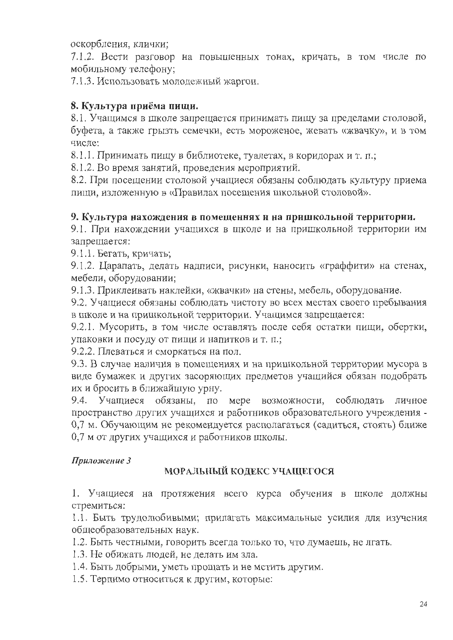оскорбления, клички;

7.1.2. Вести разговор на повышенных тонах, кричать, в том числе по мобильному телефону;

7.1.3. Использовать молодежный жаргон.

# 8. Культура приёма пищи.

8.1. Учащимся в школе запрещается принимать пищу за пределами столовой, буфета, а также грызть семечки, есть мороженое, жевать «жвачку», и в том числе:

8.1.1. Принимать пищу в библиотеке, туалетах, в коридорах и т. п.;

8.1.2. Во время занятий, проведения мероприятий.

8.2. При посещении столовой учащиеся обязаны соблюдать культуру приема пищи, изложенную в «Правилах посещения школьной столовой».

### 9. Культура нахождения в помещеннях и на пришкольной территории.

9.1. При нахождении учащихся в школе и на пришкольной территории им запрещается:

9.1.1. Бегать, кричать;

9.1.2. Царапать, делать надписи, рисунки, наносить «граффити» на стенах, мебели, оборудовании;

9.1.3. Приклеивать наклейки, «жвачки» на стены, мебель, оборудование.

9.2. Учащиеся обязаны соблюдать чистоту во всех местах своего пребывания в школе и на пришкольной территории. Учащимся запрещается:

9.2.1. Мусорить, в том числе оставлять после себя остатки пищи, обертки, упаковки и посуду от пищи и напитков и т. п.;

9.2.2. Плеваться и сморкаться на пол.

9.3. В случае наличия в помещениях и на пришкольной территории мусора в виде бумажек и других засоряющих предметов учащийся обязан подобрать их и бросить в ближайшую урну.

9.4. Учащиеся обязаны, по мере возможности, соблюдать личное пространство других учащихся и работников образовательного учреждения -0,7 м. Обучающим не рекомендуется располагаться (садиться, стоять) ближе 0,7 м от других учащихся и работников школы.

### Приложение 3

# МОРАЛЬНЫЙ КОДЕКС УЧАЩЕГОСЯ

1. Учащиеся на протяжения всего курса обучения в школе должны стремиться:

1.1. Быть трудолюбивыми; прилагать максимальные усилия для изучения общеобразовательных наук.

1.2. Быть честными, говорить всегда только то, что думаешь, не лгать.

1.3. Не обижать людей, не делать им зла.

1.4. Быть добрыми, уметь прощать и не мстить другим.

1.5. Терпимо относиться к другим, которые: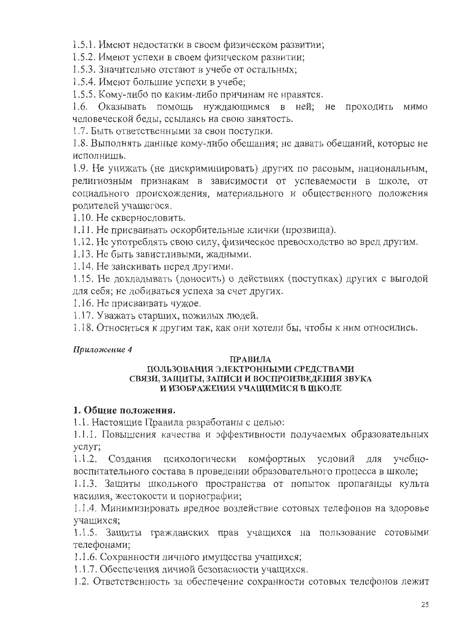1.5.1. Имеют недостатки в своем физическом развитии;

1.5.2. Имеют успехи в своем физическом развитии;

1.5.3. Значительно отстают в учебе от остальных;

1.5.4. Имеют большие успехи в учебе;

1.5.5. Кому-либо по каким-либо причинам не нравятся.

1.6. Оказывать помощь нуждающимся в ней; не проходить МИМО человеческой беды, ссылаясь на свою занятость.

1.7. Быть ответственными за свои поступки.

1.8. Выполнять данные кому-либо обещания; не давать обещаний, которые не исполнишь.

1.9. Не унижать (не дискриминировать) других по расовым, национальным, религиозным признакам в зависимости от успеваемости в школе, от социального происхождения, материального и общественного положения родителей учащегося.

1.10. Не сквернословить.

1.11. Не присваивать оскорбительные клички (прозвища).

1.12. Не употреблять свою силу, физическое превосходство во вред другим.

1.13. Не быть завистливыми, жадными.

1.14. Не заискивать перед другими.

1.15. Не докладывать (доносить) о действиях (поступках) других с выгодой для себя; не добиваться успеха за счет других.

1.16. Не присваивать чужое.

1.17. Уважать старших, пожилых людей.

1.18. Относиться к другим так, как они хотели бы, чтобы к ним относились.

### Приложение 4

### **ПРАВИЛА**

#### ПОЛЬЗОВАНИЯ ЭЛЕКТРОННЫМИ СРЕДСТВАМИ СВЯЗИ, ЗАЩИТЫ, ЗАПИСИ И ВОСПРОИЗВЕДЕНИЯ ЗВУКА И ИЗОБРАЖЕНИЯ УЧАЩИМИСЯ В ШКОЛЕ

### 1. Общие положения.

1.1. Настоящие Правила разработаны с целью:

1.1.1. Повышения качества и эффективности получаемых образовательных услуг;

комфортных условий для 1.1.2. Создания психологически учебновоспитательного состава в проведении образовательного процесса в школе;

1.1.3. Защиты школьного пространства от попыток пропаганды культа насилия, жестокости и порнографии;

1.1.4. Минимизировать вредное воздействие сотовых телефонов на здоровье учащихся;

1.1.5. Защиты гражданских прав учащихся на пользование сотовыми телефонами;

1.1.6. Сохранности личного имущества учащихся;

1.1.7. Обеспечения личной безопасности учащихся.

1.2. Ответственность за обеспечение сохранности сотовых телефонов лежит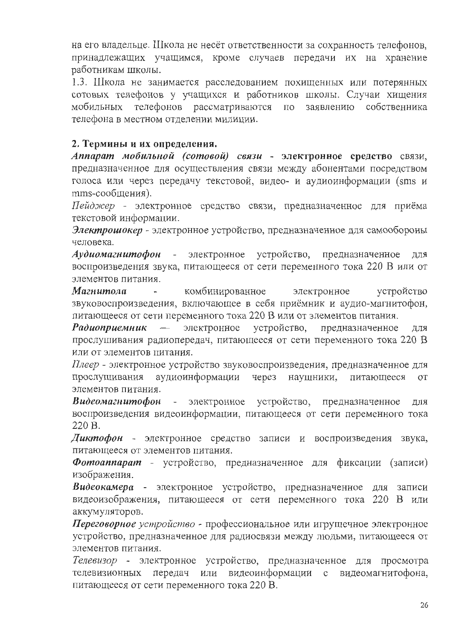на его владельце. Школа не несёт ответственности за сохранность телефонов, принадлежащих учащимся, кроме случаев передачи их на хранение работникам школы.

1.3. Школа не занимается расследованием похищенных или потерянных сотовых телефонов у учащихся и работников школы. Случаи хищения мобильных телефонов рассматриваются собственника  $\Pi$ O заявлению телефона в местном отделении милиции.

### 2. Термины и их определения.

Аппарат мобильной (сотовой) связи - электронное средство связи, предназначенное для осуществления связи между абонентами посредством голоса или через передачу текстовой, видео- и аудиоинформации (sms и mms-сообщения).

Пейджер - электронное средство связи, предназначенное для приёма текстовой информации.

Электрошокер - электронное устройство, предназначенное для самообороны человека.

Аудиомагнитофон - электронное устройство, предназначенное ДЛЯ воспроизведения звука, питающееся от сети переменного тока 220 В или от элементов питания.

Магнитола комбинированное электронное устройство звуковоспроизведения, включающее в себя приёмник и аудио-магнитофон, питающееся от сети переменного тока 220 В или от элементов питания.

электронное устройство, Радиоприемник  $\frac{1}{2}$ предназначенное ДЛЯ прослушивания радиопередач, питающееся от сети переменного тока 220 В или от элементов питания.

Плеер - электронное устройство звуковоспроизведения, предназначенное для аудиоинформации прослушивания через наушники, питающееся **OT** элементов питания.

Видеомагнитофон электронное устройство, предназначенное  $\omega_{\rm{max}}$ ДЛЯ воспроизведения видеоинформации, питающееся от сети переменного тока 220 B.

Диктофон - электронное средство записи и воспроизведения звука, питающееся от элементов питания.

Фотоаппарат - устройство, предназначенное для фиксации (записи) изображения.

Видеокамера - электронное устройство, предназначенное для записи видеоизображения, питающееся от сети переменного тока 220 В или аккумуляторов.

Переговорное устройство - профессиональное или игрушечное электронное устройство, предназначенное для радиосвязи между людьми, питающееся от элементов питания.

Телевизор - электронное устройство, предназначенное для просмотра телевизионных передач или видеоинформации с видеомагнитофона. питающееся от сети переменного тока 220 В.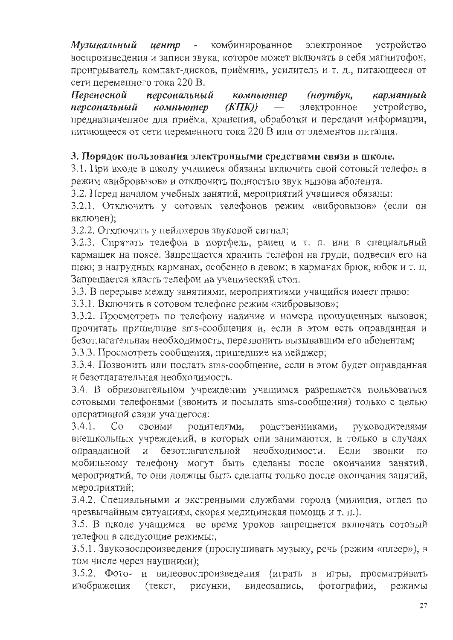Музыкальный иентр - комбинированное электронное устройство воспроизведения и записи звука, которое может включать в себя магнитофон, проигрыватель компакт-дисков, приёмник, усилитель и т. д., питающееся от сети переменного тока 220 В.

Переносной персональный компьютер (ноутбук, карманный  $(KIIK))$ электронное устройство. персональный компьютер предназначенное для приёма, хранения, обработки и передачи информации, питающееся от сети переменного тока 220 В или от элементов питания.

### 3. Порядок пользования электронными средствами связи в школе.

3.1. При входе в школу учащиеся обязаны включить свой сотовый телефон в режим «вибровызов» и отключить полностью звук вызова абонента.

3.2. Перед началом учебных занятий, мероприятий учащиеся обязаны:

3.2.1. Отключить у сотовых телефонов режим «вибровызов» (если он включен);

3.2.2. Отключить у пейджеров звуковой сигнал;

3.2.3. Спрятать телефон в портфель, ранец и т. п. или в специальный кармашек на поясе. Запрещается хранить телефон на груди, подвесив его на шею; в нагрудных карманах, особенно в левом; в карманах брюк, юбок и т. п. Запрещается класть телефон на ученический стол.

3.3. В перерыве между занятиями, мероприятиями учащийся имеет право:

3.3.1. Включить в сотовом телефоне режим «вибровызов»;

3.3.2. Просмотреть по телефону наличие и номера пропущенных вызовов; прочитать пришедшие sms-сообщения и, если в этом есть оправданная и безотлагательная необходимость, перезвонить вызывавшим его абонентам;

3.3.3. Просмотреть сообщения, пришедшие на пейджер;

3.3.4. Позвонить или послать sms-сообщение, если в этом будет оправданная и безотлагательная необходимость.

3.4. В образовательном учреждении учащимся разрешается пользоваться сотовыми телефонами (звонить и посылать sms-сообщения) только с целью оперативной связи учащегося:

 $3.4.1.$  $Co$ своими родителями, родственниками, руководителями внешкольных учреждений, в которых они занимаются, и только в случаях безотлагательной необходимости. звонки оправданной и Если  $\Pi$ <sup>O</sup> мобильному телефону могут быть сделаны после окончания занятий, мероприятий, то они должны быть сделаны только после окончания занятий, мероприятий;

3.4.2. Специальными и экстренными службами города (милиция, отдел по чрезвычайным ситуациям, скорая медицинская помощь и т. п.).

3.5. В школе учащимся во время уроков запрещается включать сотовый телефон в следующие режимы:,

3.5.1. Звуковоспроизведения (прослушивать музыку, речь (режим «плеер»), в том числе через наушники);

3.5.2. Фото- и видеовоспроизведения (играть в игры, просматривать изображения (текст, рисунки, фотографии, видеозапись, режимы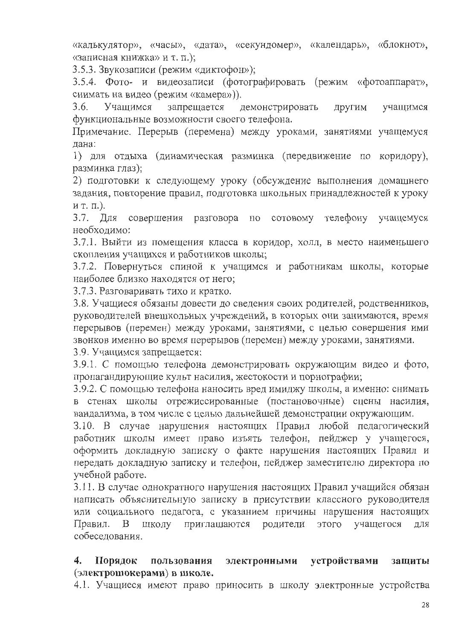«калькулятор», «часы», «дата», «секундомер», «календарь», «блокнот», «записная книжка» и т. п.);

3.5.3. Звукозаписи (режим «диктофон»);

3.5.4. Фото- и видеозаписи (фотографировать (режим «фотоаппарат», снимать на видео (режим «камера»)).

 $3.6.$ Учашимся запрещается демонстрировать ДРУГИМ учащимся функциональные возможности своего телефона.

Примечание. Перерыв (перемена) между уроками, занятиями учащемуся лана:

1) для отдыха (динамическая разминка (передвижение по коридору), разминка глаз);

2) подготовки к следующему уроку (обсуждение выполнения домашнего задания, повторение правил, подготовка школьных принадлежностей к уроку ит. п.).

3.7. Для совершения разговора  $\Pi{\rm O}$ сотовому телефону учащемуся необходимо:

3.7.1. Выйти из помещения класса в коридор, холл, в место наименьшего скопления учащихся и работников школы;

3.7.2. Повернуться спиной к учащимся и работникам школы, которые наиболее близко находятся от него;

3.7.3. Разговаривать тихо и кратко.

3.8. Учащиеся обязаны довести до сведения своих родителей, родственников, руководителей внешкольных учреждений, в которых они занимаются, время перерывов (перемен) между уроками, занятиями, с целью совершения ими звонков именно во время перерывов (перемен) между уроками, занятиями.

3.9. Учащимся запрещается:

3.9.1. С помощью телефона демонстрировать окружающим видео и фото, пропагандирующие культ насилия, жестокости и порнографии;

3.9.2. С помощью телефона наносить вред имиджу школы, а именно: снимать в стенах школы отрежиссированные (постановочные) сцены насилия, вандализма, в том числе с целью дальнейшей демонстрации окружающим.

3.10. В случае нарушения настоящих Правил любой педагогический работник школы имеет право изъять телефон, пейджер у учащегося, оформить докладную записку о факте нарушения настоящих Правил и передать докладную записку и телефон, пейджер заместителю директора по учебной работе.

3.11. В случае однократного нарушения настоящих Правил учащийся обязан написать объяснительную записку в присутствии классного руководителя или социального педагога, с указанием причины нарушения настоящих школу приглашаются родители этого учащегося Правил. ДЛЯ  $\mathbf{B}$ собеседования.

#### устройствами защиты Порядок электронными 4. пользования (электрошокерами) в школе.

4.1. Учащиеся имеют право приносить в школу электронные устройства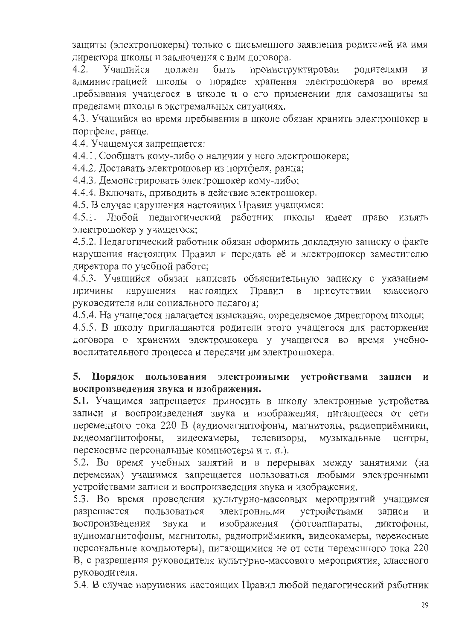защиты (электрошокеры) только с письменного заявления родителей на имя директора школы и заключения с ним договора.

 $4.2.$ Учашийся быть проинструктирован должен родителями  $\overline{M}$ администрацией школы о порядке хранения электрошокера во время пребывания учащегося в школе и о его применении для самозащиты за пределами школы в экстремальных ситуациях.

4.3. Учащийся во время пребывания в школе обязан хранить электрошокер в портфеле, ранце.

4.4. Учащемуся запрешается:

4.4.1. Сообщать кому-либо о наличии у него электрошокера;

4.4.2. Доставать электрошокер из портфеля, ранца;

4.4.3. Демонстрировать электрошокер кому-либо;

4.4.4. Включать, приводить в действие электрошокер.

4.5. В случае нарушения настоящих Правил учащимся:

4.5.1. Любой педагогический работник школы имеет право ИЗЪЯТЬ электрошокер у учащегося;

4.5.2. Педагогический работник обязан оформить докладную записку о факте нарушения настоящих Правил и передать её и электрошокер заместителю директора по учебной работе;

4.5.3. Учащийся обязан написать объяснительную записку с указанием настоящих Правил присутствии причины нарушения  $\mathbf{B}$ классного руководителя или социального педагога;

4.5.4. На учащегося налагается взыскание, определяемое директором школы;

4.5.5. В школу приглашаются родители этого учащегося для расторжения договора о хранении электрошокера у учащегося во время учебновоспитательного процесса и передачи им электрошокера.

#### 5. пользования электронными устройствами Порядок записи  $\mathbf{M}$ воспроизведения звука и изображения.

5.1. Учащимся запрещается приносить в школу электронные устройства записи и воспроизведения звука и изображения, питающееся от сети переменного тока 220 В (аудиомагнитофоны, магнитолы, радиоприёмники, видеомагнитофоны. видеокамеры, телевизоры, музыкальные центры, переносные персональные компьютеры и т. п.).

5.2. Во время учебных занятий и в перерывах между занятиями (на переменах) учащимся запрещается пользоваться любыми электронными устройствами записи и воспроизведения звука и изображения.

5.3. Во время проведения культурно-массовых мероприятий учащимся разрешается пользоваться электронными устройствами записи  $\overline{M}$ воспроизведения  $\,$   $\,$   $\,$   $\,$ изображения (фотоаппараты, звука диктофоны, аудиомагнитофоны, магнитолы, радиоприёмники, видеокамеры, переносные персональные компьютеры), питающимися не от сети переменного тока 220 В, с разрешения руководителя культурно-массового мероприятия, классного руководителя.

5.4. В случае нарушения настоящих Правил любой педагогический работник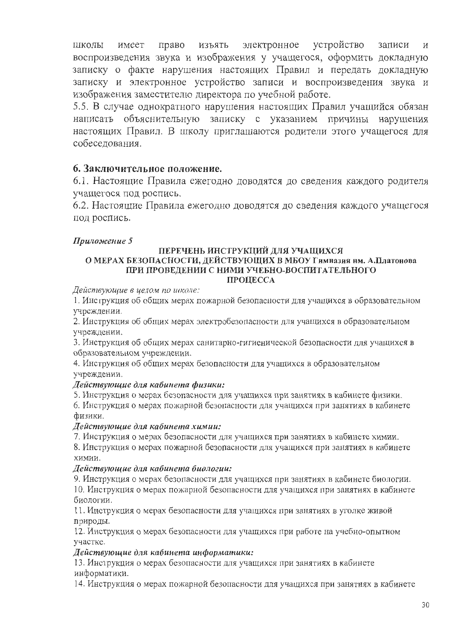право изъять электронное устройство школы имеет записи  $\overline{M}$ воспроизведения звука и изображения у учащегося, оформить докладную записку о факте нарушения настоящих Правил и передать докладную записку и электронное устройство записи и воспроизведения звука и изображения заместителю директора по учебной работе.

5.5. В случае однократного нарушения настоящих Правил учащийся обязан написать объяснительную записку с указанием причины нарушения настоящих Правил. В школу приглашаются родители этого учащегося для собеселования.

### 6. Заключительное положение.

6.1. Настоящие Правила ежегодно доводятся до сведения каждого родителя учащегося под роспись.

6.2. Настоящие Правила ежегодно доводятся до сведения каждого учащегося под роспись.

### Приложение 5

#### ПЕРЕЧЕНЬ ИНСТРУКЦИЙ ДЛЯ УЧАЩИХСЯ О МЕРАХ БЕЗОПАСНОСТИ, ДЕЙСТВУЮЩИХ В МБОУ Гимназия нм. А.Платонова ПРИ ПРОВЕДЕНИИ С НИМИ УЧЕБНО-ВОСПИТАТЕЛЬНОГО ПРОЦЕССА

Действующие в целом по школе:

1. Инструкция об общих мерах пожарной безопасности для учащихся в образовательном учреждении.

2. Инструкция об общих мерах электробезопасности для учащихся в образовательном учреждении.

3. Инструкция об общих мерах санитарно-гигиенической безопасности для учащихся в образовательном учреждении.

4. Инструкция об общих мерах безопасности для учащихся в образовательном учреждении.

#### Действующие для кабинета физики:

5. Инструкция о мерах безопасности для учащихся при занятиях в кабинете физики.

6. Инструкция о мерах пожарной безопасности для учащихся при занятиях в кабинете физики.

#### Действующие для кабинета химии:

7. Инструкция о мерах безопасности для учащихся при занятиях в кабинете химии.

8. Инструкция о мерах пожарной безопасности для учащихся при занятиях в кабинете химии.

#### Действующие для кабинета биологии:

9. Инструкция о мерах безопасности для учащихся при занятиях в кабинете биологии.

10. Инструкция о мерах пожарной безопасности для учащихся при занятиях в кабинете биологии.

11. Инструкция о мерах безопасности для учащихся при занятиях в уголке живой природы.

12. Инструкция о мерах безопасности для учащихся при работе на учебно-опытном участке.

#### Действующие для кабинета информатики:

13. Инструкция о мерах безопасности для учащихся при занятиях в кабинете информатики.

14. Инструкция о мерах пожарной безопасности для учащихся при занятиях в кабинете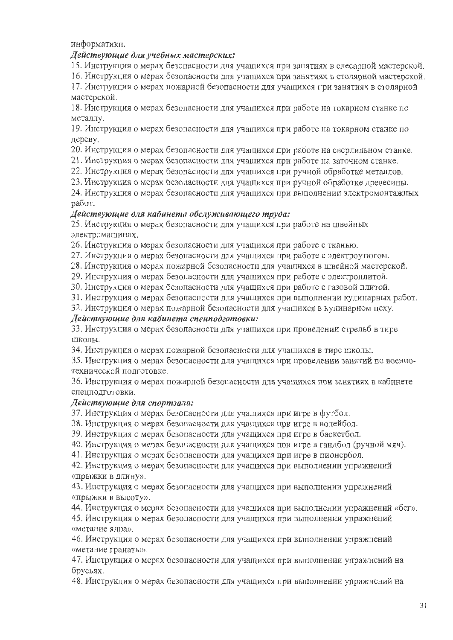информатики.

#### Действующие для учебных мастерских:

15. Инструкция о мерах безопасности для учащихся при занятиях в слесарной мастерской.

16. Инструкция о мерах безопасности для учащихся при занятиях в столярной мастерской.

17. Инструкция о мерах пожарной безопасности для учащихся при занятиях в столярной мастерской.

18. Инструкция о мерах безопасности для учащихся при работе на токарном станке по металлу.

19. Инструкция о мерах безопасности для учащихся при работе на токарном станке по дереву.

20. Инструкция о мерах безопасности для учащихся при работе на сверлильном станке.

21. Инструкция о мерах безопасности для учащихся при работе на заточном станке.

22. Инструкция о мерах безопасности для учащихся при ручной обработке металлов.

23. Инструкция о мерах безопасности для учащихся при ручной обработке древесины.

24. Инструкция о мерах безопасности для учащихся при выполнении электромонтажных работ.

#### Действующие для кабинета обслуживающего труда:

25. Инструкция о мерах безопасности для учащихся при работе на швейных электромашинах.

26. Инструкция о мерах безопасности для учащихся при работе с тканью.

27. Инструкция о мерах безопасности для учащихся при работе с электроутюгом.

28. Инструкция о мерах пожарной безопасности для учащихся в швейной мастерской.

29. Инструкция о мерах безопасности для учащихся при работе с электроплитой.

30. Инструкция о мерах безопасности для учащихся при работе с газовой плитой.

31. Инструкция о мерах безопасности для учащихся при выполнении кулинарных работ.

32. Инструкция о мерах пожарной безопасности для учащихся в кулинарном цеху.

#### Действующие для кабинета спецподготовки:

33. Инструкция о мерах безопасности для учащихся при проведении стрельб в тире ШКОЛЫ.

34. Инструкция о мерах пожарной безопасности для учащихся в тире школы.

35. Инструкция о мерах безопасности для учащихся при проведении занятий по военнотехнической подготовке.

36. Инструкция о мерах пожарной безопасности для учащихся при занятиях в кабинете спецподготовки.

#### Действующие для спортзала:

37. Инструкция о мерах безопасности для учащихся при игре в футбол.

38. Инструкция о мерах безопасности для учащихся при игре в волейбол.

39. Инструкция о мерах безопасности для учащихся при игре в баскетбол.

40. Инструкция о мерах безопасности для учащихся при игре в гандбол (ручной мяч).

41. Инструкция о мерах безопасности для учащихся при игре в пионербол.

42. Инструкция о мерах безопасности для учащихся при выполнении упражнений «прыжки в длину».

43. Инструкция о мерах безопасности для учащихся при выполнении упражнений «прыжки в высоту».

44. Инструкция о мерах безопасности для учащихся при выполнении упражнений «бег».

45. Инструкция о мерах безопасности для учащихся при выполнении упражнений «метание ядра».

46. Инструкция о мерах безопасности для учащихся при выполнении упражнений «метание гранаты».

47. Инструкция о мерах безопасности для учащихся при выполнении упражнений на брусьях.

48. Инструкция о мерах безопасности для учащихся при выполнении упражнений на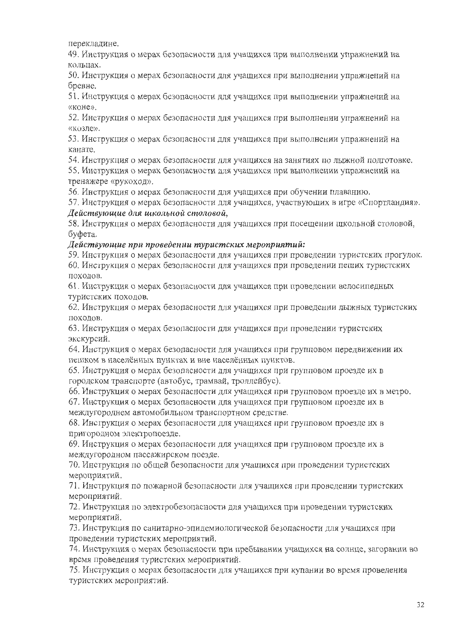перекладине.

49. Инструкция о мерах безопасности для учащихся при выполнении упражнений на кольнах.

50. Инструкция о мерах безопасности для учащихся при выполнении упражнений на бревне.

51. Инструкция о мерах безопасности для учашихся при выполнении упражнений на «коне».

52. Инструкция о мерах безопасности для учащихся при выполнении упражнений на «козле».

53. Инструкция о мерах безопасности для учащихся при выполнении упражнений на канате.

54. Инструкция о мерах безопасности для учащихся на занятиях по лыжной подготовке.

55. Инструкция о мерах безопасности для учащихся при выполнении упражнений на тренажере «рукоход».

56. Инструкция о мерах безопасности для учащихся при обучении плаванию.

57. Инструкция о мерах безопасности для учащихся, участвующих в игре «Спортландия», Действующие для школьной столовой,

58. Инструкция о мерах безопасности для учащихся при посещении школьной столовой, буфета.

#### Действующие при проведении туристских мероприятий:

59. Инструкция о мерах безопасности для учащихся при проведении туристских прогулок. 60. Инструкция о мерах безопасности для учащихся при проведении пеших туристских походов.

61. Инструкция о мерах безопасности для учащихся при проведении велосипедных туристских походов.

62. Инструкция о мерах безопасности для учащихся при проведении лыжных туристских походов.

63. Инструкция о мерах безопасности для учащихся при проведении туристских экскурсий.

64. Инструкция о мерах безопасности для учащихся при групповом передвижении их пешком в населённых пунктах и вне населённых пунктов.

65. Инструкция о мерах безопасности для учащихся при групповом проезде их в городском транспорте (автобус, трамвай, троллейбус).

66. Инструкция о мерах безопасности для учащихся при групповом проезде их в метро.

67. Инструкция о мерах безопасности для учащихся при групповом проезде их в междугороднем автомобильном транспортном средстве.

68. Инструкция о мерах безопасности для учащихся при групповом проезде их в пригородном электропоезде.

59. Инструкция о мерах безопасности для учащихся при групповом проезде их в междугородном пассажирском поезде.

70. Инструкция по общей безопасности для учащихся при проведении туристских мероприятий.

71. Инструкция по пожарной безопасности для учащихся при проведении туристских мероприятий.

72. Инструкция по электробезопасности для учащихся при проведении туристских мероприятий.

73. Инструкция по санитарно-эпидемиологической безопасности для учащихся при проведении туристских мероприятий.

74. Инструкция о мерах безопасности при пребывании учащихся на солнце, загорании во время проведения туристских мероприятий.

75. Инструкция о мерах безопасности для учащихся при купании во время проведения гуристских мероприятий.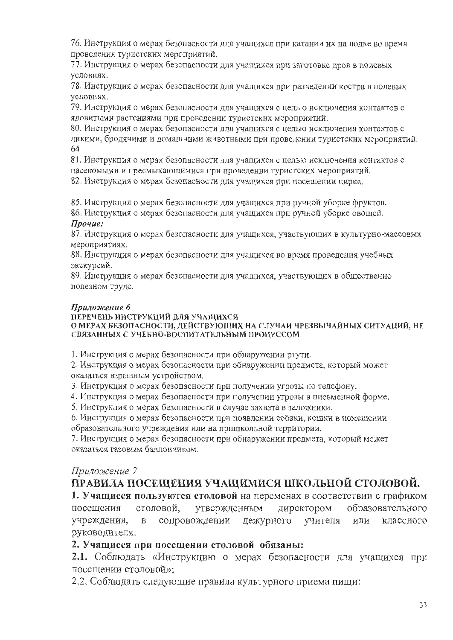76. Инструкция о мерах безопасности для учащихся при катании их на лодке во время проведения туристских мероприятий.

77. Инструкция о мерах безопасности для учащихся при заготовке дров в полевых условиях.

78. Инструкция о мерах безопасности для учащихся при разведении костра в полевых условиях.

79. Инструкция о мерах безопасности для учащихся с целью исключения контактов с ядовитыми растениями при проведении туристских мероприятий.

80. Инструкция о мерах безопасности для учащихся с целью исключения контактов с дикими, бродячими и домашними животными при проведении туристских мероприятий. 64

81. Инструкция о мерах безопасности для учащихся с целью исключения контактов с насекомыми и пресмыкающимися при проведении туристских мероприятий.

82. Инструкция о мерах безопасности для учащихся при посещении цирка.

85. Инструкция о мерах безопасности для учащихся при ручной уборке фруктов.

86. Инструкция о мерах безопасности для учащихся при ручной уборке овощей. Прочие:

87. Инструкция о мерах безопасности для учащихся, участвующих в культурно-массовых мероприятиях.

88. Инструкция о мерах безопасности для учащихся во время проведения учебных экскурсий.

89. Инструкция о мерах безопасности для учащихся, участвующих в общественно полезном труде.

#### Приложение 6

#### ПЕРЕЧЕНЬ ИНСТРУКЦИЙ ДЛЯ УЧАЩИХСЯ О МЕРАХ БЕЗОПАСНОСТИ, ДЕЙСТВУЮЩИХ НА СЛУЧАИ ЧРЕЗВЫЧАЙНЫХ СИТУАЦИЙ, НЕ СВЯЗАННЫХ С УЧЕБНО-ВОСПИТАТЕЛЬНЫМ ПРОЦЕССОМ

1. Инструкция о мерах безопасности при обнаружении ртути.

2. Инструкция о мерах безопасности при обнаружении предмета, который может оказаться взрывным устройством.

3. Инструкция о мерах безопасности при получении угрозы по телефону.

4. Инструкция о мерах безопасности при получении угрозы в письменной форме.

5. Инструкция о мерах безопасности в случае захвата в заложники.

6. Инструкция о мерах безопасности при появлении собаки, кошки в помещении образовательного учреждения или на пришкольной территории.

7. Инструкция о мерах безопасности при обнаружении предмета, который может оказаться газовым баллончиком.

### Приложение 7

# ПРАВИЛА ПОСЕЩЕНИЯ УЧАЩИМИСЯ ШКОЛЬНОЙ СТОЛОВОЙ.

1. Учащиеся пользуются столовой на переменах в соответствии с графиком директором образовательного посещения столовой, утвержденным сопровождении дежурного учителя или классного учреждения,  $\, {\bf B}$ руководителя.

### 2. Учащиеся при посещении столовой обязаны:

2.1. Соблюдать «Инструкцию о мерах безопасности для учащихся при посещении столовой»;

2.2. Соблюдать следующие правила культурного приема пищи: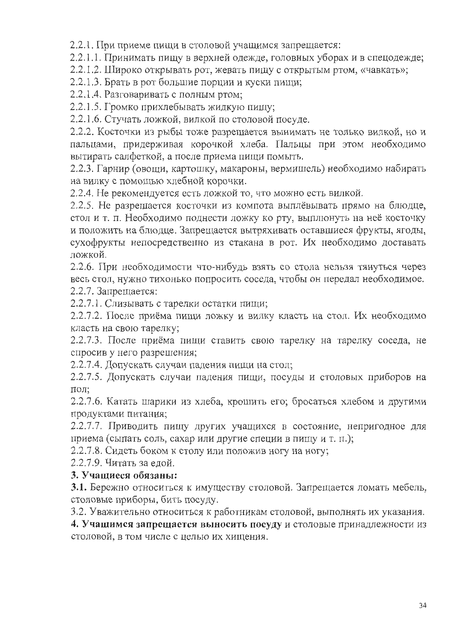2.2.1. При приеме пищи в столовой учащимся запрещается:

2.2.1.1. Принимать пищу в верхней одежде, головных уборах и в спецодежде;

2.2.1.2. Широко открывать рот, жевать пищу с открытым ртом, «чавкать»;

2.2.1.3. Брать в рот большие порции и куски пищи;

2.2.1.4. Разговаривать с полным ртом;

2.2.1.5. Громко прихлебывать жидкую пищу;

2.2.1.6. Стучать ложкой, вилкой по столовой посуде.

2.2.2. Косточки из рыбы тоже разрешается вынимать не только вилкой, но и пальцами, придерживая корочкой хлеба. Пальцы при этом необходимо вытирать салфеткой, а после приема пищи помыть.

2.2.3. Гарнир (овощи, картошку, макароны, вермишель) необходимо набирать на вилку с помощью хлебной корочки.

2.2.4. Не рекомендуется есть ложкой то, что можно есть вилкой.

2.2.5. Не разрешается косточки из компота выплёвывать прямо на блюдце, стол и т. п. Необходимо поднести ложку ко рту, выплюнуть на неё косточку и положить на блюдце. Запрещается вытряхивать оставшиеся фрукты, ягоды, сухофрукты непосредственно из стакана в рот. Их необходимо доставать ложкой.

2.2.6. При необходимости что-нибудь взять со стола нельзя тянуться через весь стол, нужно тихонько попросить соседа, чтобы он передал необходимое. 2.2.7. Запрещается:

2.2.7.1. Слизывать с тарелки остатки пищи;

2.2.7.2. После приёма пищи ложку и вилку класть на стол. Их необходимо класть на свою тарелку;

2.2.7.3. После приёма пищи ставить свою тарелку на тарелку соседа, не спросив у него разрешения;

2.2.7.4. Допускать случаи падения пищи на стол;

2.2.7.5. Допускать случаи падения пищи, посуды и столовых приборов на пол;

2.2.7.6. Катать шарики из хлеба, крошить его; бросаться хлебом и другими продуктами питания;

2.2.7.7. Приводить пищу других учащихся в состояние, непригодное для приема (сыпать соль, сахар или другие специи в пищу и т. п.);

2.2.7.8. Сидеть боком к столу или положив ногу на ногу;

2.2.7.9. Читать за едой.

### 3. Учащиеся обязаны:

3.1. Бережно относиться к имуществу столовой. Запрещается ломать мебель, столовые приборы, бить посуду.

3.2. Уважительно относиться к работникам столовой, выполнять их указания.

4. Учащимся запрещается выносить посуду и столовые принадлежности из столовой, в том числе с целью их хищения.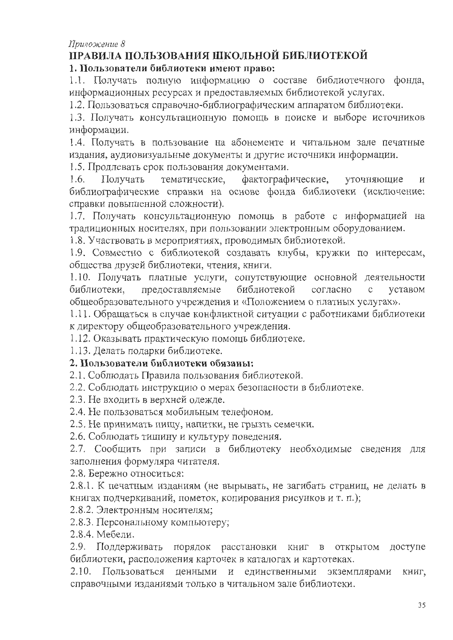### Приложение 8

# ПРАВИЛА ПОЛЬЗОВАНИЯ ШКОЛЬНОЙ БИБЛИОТЕКОЙ

### 1. Пользователи библиотеки имеют право:

1.1. Получать полную информацию о составе библиотечного фонда, информационных ресурсах и предоставляемых библиотекой услугах.

1.2. Пользоваться справочно-библиографическим аппаратом библиотеки.

1.3. Получать консультационную помощь в поиске и выборе источников информации.

1.4. Получать в пользование на абонементе и читальном зале печатные издания, аудиовизуальные документы и другие источники информации.

1.5. Продлевать срок пользования документами.

Получать тематические, фактографические,  $1.6.$ уточняющие  $\overline{M}$ библиографические справки на основе фонда библиотеки (исключение: справки повышенной сложности).

1.7. Получать консультационную помощь в работе с информацией на традиционных носителях, при пользовании электронным оборудованием.

1.8. Участвовать в мероприятиях, проводимых библиотекой.

1.9. Совместно с библиотекой создавать клубы, кружки по интересам, общества друзей библиотеки, чтения, книги.

1.10. Получать платные услуги, сопутствующие основной деятельности предоставляемые библиотекой библиотеки, согласно уставом  $\mathbf{C}$ общеобразовательного учреждения и «Положением о платных услугах».

1.11. Обращаться в случае конфликтной ситуации с работниками библиотеки к директору общеобразовательного учреждения.

1.12. Оказывать практическую помощь библиотеке.

1.13. Делать подарки библиотеке.

### 2. Пользователи библиотеки обязаны:

2.1. Соблюдать Правила пользования библиотекой.

2.2. Соблюдать инструкцию о мерах безопасности в библиотеке.

2.3. Не входить в верхней одежде.

2.4. Не пользоваться мобильным телефоном.

2.5. Не принимать пищу, напитки, не грызть семечки.

2.6. Соблюдать тишину и культуру поведения.

2.7. Сообщить при записи в библиотеку необходимые сведения для заполнения формуляра читателя.

2.8. Бережно относиться:

2.8.1. К печатным изданиям (не вырывать, не загибать страниц, не делать в книгах подчеркиваний, пометок, копирования рисунков и т. п.);

2.8.2. Электронным носителям;

2.8.3. Персональному компьютеру;

2.8.4. Мебели.

2.9. Поддерживать порядок расстановки книг в открытом доступе библиотеки, расположения карточек в каталогах и картотеках.

2.10. Пользоваться ценными и единственными экземплярами КНИГ, справочными изданиями только в читальном зале библиотеки.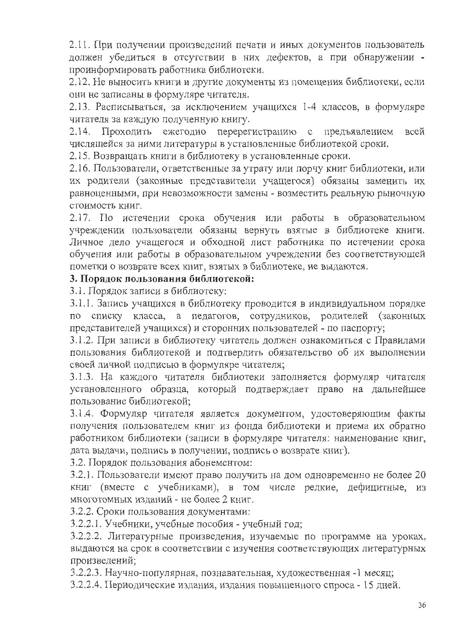2.11. При получении произведений печати и иных документов пользователь должен убедиться в отсутствии в них дефектов, а при обнаружении проинформировать работника библиотеки.

2.12. Не выносить книги и другие документы из помещения библиотеки, если они не записаны в формуляре читателя.

2.13. Расписываться, за исключением учащихся 1-4 классов, в формуляре читателя за каждую полученную книгу.

Проходить ежегодно перерегистрацию с предъявлением всей  $2.14.$ числящейся за ними литературы в установленные библиотекой сроки.

2.15. Возвращать книги в библиотеку в установленные сроки.

2.16. Пользователи, ответственные за утрату или порчу книг библиотеки, или их родители (законные представители учащегося) обязаны заменить их равноценными, при невозможности замены - возместить реальную рыночную стоимость книг.

2.17. По истечении срока обучения или работы в образовательном учреждении пользователи обязаны вернуть взятые в библиотеке книги. Личное дело учащегося и обходной лист работника по истечении срока обучения или работы в образовательном учреждении без соответствующей пометки о возврате всех книг, взятых в библиотеке, не выдаются.

### 3. Порядок пользования библиотекой:

3.1. Порядок записи в библиотеку:

3.1.1. Запись учащихся в библиотеку проводится в индивидуальном порядке по списку класса, а педагогов, сотрудников, родителей (законных представителей учащихся) и сторонних пользователей - по паспорту;

3.1.2. При записи в библиотеку читатель должен ознакомиться с Правилами пользования библиотекой и подтвердить обязательство об их выполнении своей личной подписью в формуляре читателя;

3.1.3. На каждого читателя библиотеки заполняется формуляр читателя установленного образца, который подтверждает право на дальнейшее пользование библиотекой;

3.1.4. Формуляр читателя является документом, удостоверяющим факты получения пользователем книг из фонда библиотеки и приема их обратно работником библиотеки (записи в формуляре читателя: наименование книг, дата выдачи, подпись в получении, подпись о возврате книг).

3.2. Порядок пользования абонементом:

3.2.1. Пользователи имеют право получить на дом одновременно не более 20 книг (вместе с учебниками), в том числе редкие, дефицитные, из многотомных изданий - не более 2 книг.

3.2.2. Сроки пользования документами:

3.2.2.1. Учебники, учебные пособия - учебный год;

3.2.2.2. Литературные произведения, изучаемые по программе на уроках, выдаются на срок в соответствии с изучения соответствующих литературных произведений;

3.2.2.3. Научно-популярная, познавательная, художественная -1 месяц;

3.2.2.4. Периодические издания, издания повышенного спроса - 15 дней.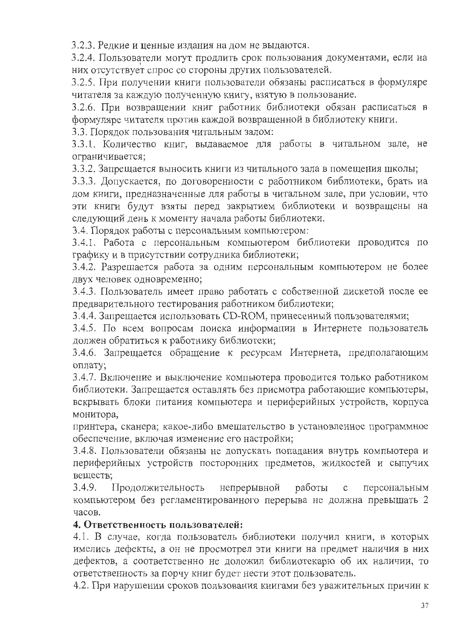3.2.3. Редкие и ценные издания на дом не выдаются.

3.2.4. Пользователи могут продлить срок пользования документами, если на них отсутствует спрос со стороны других пользователей.

3.2.5. При получении книги пользователи обязаны расписаться в формуляре читателя за каждую полученную книгу, взятую в пользование.

3.2.6. При возвращении книг работник библиотеки обязан расписаться в формуляре читателя против каждой возвращенной в библиотеку книги.

3.3. Порядок пользования читальным залом:

3.3.1. Количество книг, выдаваемое для работы в читальном зале, не ограничивается;

3.3.2. Запрещается выносить книги из читального зала в помещения школы;

3.3.3. Допускается, по договоренности с работником библиотеки, брать на дом книги, предназначенные для работы в читальном зале, при условии, что эти книги будут взяты перед закрытием библиотеки и возвращены на следующий день к моменту начала работы библиотеки.

3.4. Порядок работы с персональным компьютером:

3.4.1. Работа с персональным компьютером библиотеки проводится по графику и в присутствии сотрудника библиотеки;

3.4.2. Разрешается работа за одним персональным компьютером не более двух человек одновременно;

3.4.3. Пользователь имеет право работать с собственной дискетой после ее предварительного тестирования работником библиотеки;

3.4.4. Запрещается использовать CD-ROM, принесенный пользователями;

3.4.5. По всем вопросам поиска информации в Интернете пользователь должен обратиться к работнику библиотеки;

3.4.6. Запрещается обращение к ресурсам Интернета, предполагающим оплату;

3.4.7. Включение и выключение компьютера проводится только работником библиотеки. Запрещается оставлять без присмотра работающие компьютеры, вскрывать блоки питания компьютера и периферийных устройств, корпуса монитора,

принтера, сканера; какое-либо вмешательство в установленное программное обеспечение, включая изменение его настройки;

3.4.8. Пользователи обязаны не допускать попадания внутрь компьютера и периферийных устройств посторонних предметов, жидкостей и сыпучих вешеств:

 $3.4.9.$ Продолжительность непрерывной работы  $\mathbf C$ персональным компьютером без регламентированного перерыва не должна превышать 2 часов.

### 4. Ответственность пользователей:

4.1. В случае, когда пользователь библиотеки получил книги, в которых имелись дефекты, а он не просмотрел эти книги на предмет наличия в них дефектов, а соответственно не доложил библиотекарю об их наличии, то ответственность за порчу книг будет нести этот пользователь.

4.2. При нарушении сроков пользования книгами без уважительных причин к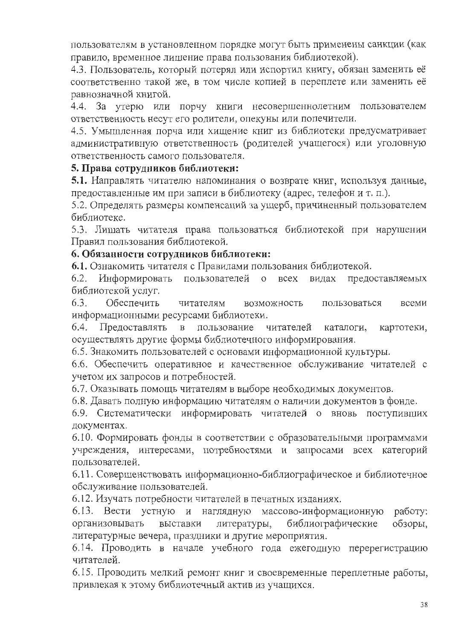пользователям в установленном порядке могут быть применены санкции (как правило, временное лишение права пользования библиотекой).

4.3. Пользователь, который потерял или испортил книгу, обязан заменить её соответственно такой же, в том числе копией в переплете или заменить её равнозначной книгой.

4.4. За утерю или порчу книги несовершеннолетним пользователем ответственность несут его родители, опекуны или попечители.

4.5. Умышленная порча или хищение книг из библиотеки предусматривает административную ответственность (родителей учащегося) или уголовную ответственность самого пользователя.

### 5. Права сотрудников библиотеки:

5.1. Направлять читателю напоминания о возврате книг, используя данные, предоставленные им при записи в библиотеку (адрес, телефон и т. п.).

5.2. Определять размеры компенсаций за ущерб, причиненный пользователем библиотеке.

5.3. Лишать читателя права пользоваться библиотекой при нарушении Правил пользования библиотекой.

### 6. Обязанности сотрудников библиотеки:

6.1. Ознакомить читателя с Правилами пользования библиотекой.

6.2. Информировать пользователей **BCCX** видах предоставляемых  $\circ$ библиотекой услуг.

 $6.3.$ Обеспечить читателям возможность пользоваться всеми информационными ресурсами библиотеки.

Предоставлять 6.4. пользование читателей каталоги. картотеки,  $\mathbf{B}$ осуществлять другие формы библиотечного информирования.

6.5. Знакомить пользователей с основами информационной культуры.

6.6. Обеспечить оперативное и качественное обслуживание читателей с учетом их запросов и потребностей.

6.7. Оказывать помощь читателям в выборе необходимых документов.

6.8. Давать полную информацию читателям о наличии документов в фонде.

6.9. Систематически информировать читателей о вновь поступивших документах.

6.10. Формировать фонды в соответствии с образовательными программами учреждения, интересами, потребностями и запросами всех категорий пользователей.

6.11. Совершенствовать информационно-библиографическое и библиотечное обслуживание пользователей.

6.12. Изучать потребности читателей в печатных изданиях.

6.13. Вести устную и наглядную массово-информационную работу: организовывать выставки литературы, библиографические обзоры, литературные вечера, праздники и другие мероприятия.

6.14. Проводить в начале учебного года ежегодную перерегистрацию читателей.

6.15. Проводить мелкий ремонт книг и своевременные переплетные работы, привлекая к этому библиотечный актив из учащихся.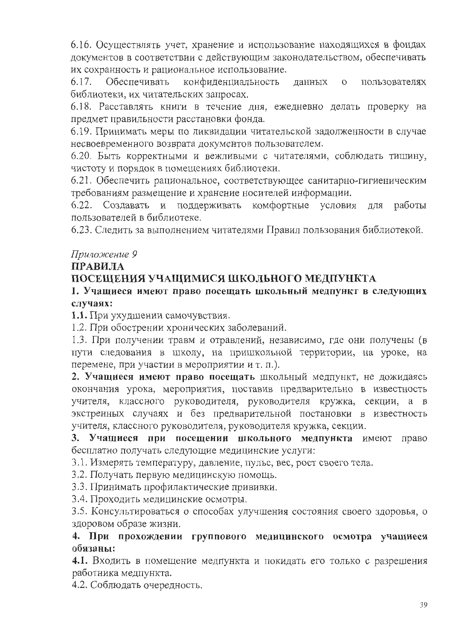6.16. Осуществлять учет, хранение и использование находящихся в фондах документов в соответствии с действующим законодательством, обеспечивать их сохранность и рациональное использование.

 $6.17.$ Обеспечивать конфиденциальность данных  $\overline{O}$ пользователях библиотеки, их читательских запросах.

6.18. Расставлять книги в течение дня, ежедневно делать проверку на предмет правильности расстановки фонда.

6.19. Принимать меры по ликвидации читательской задолженности в случае несвоевременного возврата документов пользователем.

6.20. Быть корректными и вежливыми с читателями, соблюдать тишину, чистоту и порядок в помещениях библиотеки.

6.21. Обеспечить рациональное, соответствующее санитарно-гигиеническим требованиям размещение и хранение носителей информации.

6.22. Создавать и поддерживать комфортные условия для работы пользователей в библиотеке.

6.23. Следить за выполнением читателями Правил пользования библиотекой.

# Приложение 9

# ПРАВИЛА

# ПОСЕЩЕНИЯ УЧАЩИМИСЯ ШКОЛЬНОГО МЕДПУНКТА

# 1. Учащиеся имеют право посещать школьный медпункт в следующих случаях:

1.1. При ухудшении самочувствия.

1.2. При обострении хронических заболеваний.

1.3. При получении травм и отравлений, независимо, где они получены (в пути следования в школу, на пришкольной территории, на уроке, на перемене, при участии в мероприятии и т. п.).

2. Учащиеся имеют право посещать школьный медпункт, не дожидаясь окончания урока, мероприятия, поставив предварительно в известность учителя, классного руководителя, руководителя кружка, секции, а в экстренных случаях и без предварительной постановки в известность учителя, классного руководителя, руководителя кружка, секции.

3. Учащиеся при посещении школьного медпункта имеют право бесплатно получать следующие медицинские услуги:

3.1. Измерять температуру, давление, пульс, вес, рост своего тела.

3.2. Получать первую медицинскую помощь.

3.3. Принимать профилактические прививки.

3.4. Проходить медицинские осмотры.

3.5. Консультироваться о способах улучшения состояния своего здоровья, о здоровом образе жизни.

4. При прохождении группового медицинского осмотра учащиеся обязаны:

4.1. Входить в помещение медпункта и покидать его только с разрешения работника медпункта.

4.2. Соблюдать очередность.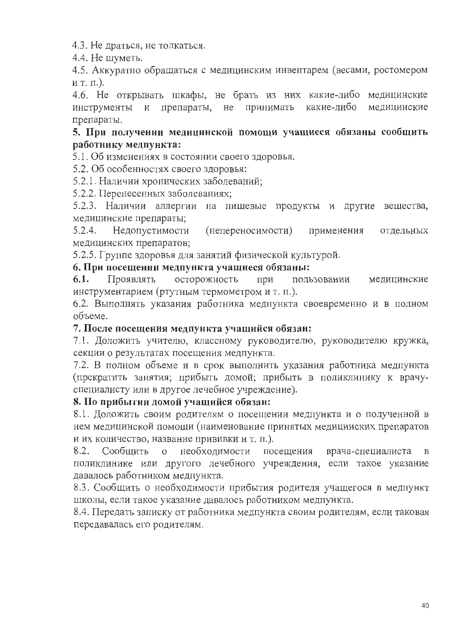4.3. Не драться, не толкаться.

4.4. Не шуметь.

4.5. Аккуратно обращаться с медицинским инвентарем (весами, ростомером ит. п.).

4.6. Не открывать шкафы, не брать из них какие-либо медицинские какие-либо инструменты и препараты, не принимать медицинские препараты.

# 5. При получении медицинской помощи учащиеся обязаны сообщить работнику медпункта:

5.1. Об изменениях в состоянии своего здоровья.

5.2. Об особенностях своего здоровья:

5.2.1. Наличии хронических заболеваний;

5.2.2. Перенесенных заболеваниях;

5.2.3. Наличии аллергии на пищевые продукты и другие вещества, медицинские препараты;

Недопустимости  $5.2.4.$ (непереносимости) применения отдельных медицинских препаратов;

5.2.5. Группе здоровья для занятий физической культурой.

### 6. При посещении медпункта учащиеся обязаны:

осторожность  $6.1.$ Проявлять при медицинские пользовании инструментарием (ртутным термометром и т. п.).

6.2. Выполнять указания работника медпункта своевременно и в полном объеме.

# 7. После посещения медпункта учащийся обязан:

7.1. Доложить учителю, классному руководителю, руководителю кружка, секции о результатах посещения медпункта.

7.2. В полном объеме и в срок выполнить указания работника медпункта (прекратить занятия; прибыть домой; прибыть в поликлинику к врачуспециалисту или в другое лечебное учреждение).

# 8. По прибытии домой учащийся обязан:

8.1. Доложить своим родителям о посещении медпункта и о полученной в нем медицинской помощи (наименование принятых медицинских препаратов и их количество, название прививки и т. п.).

Сообщить о необходимости посещения 8.2. врача-специалиста  $\, {\bf B}$ поликлинике или другого лечебного учреждения, если такое указание давалось работником медпункта.

8.3. Сообщить о необходимости прибытия родителя учащегося в медпункт школы, если такое указание давалось работником медпункта.

8.4. Передать записку от работника медпункта своим родителям, если таковая передавалась его родителям.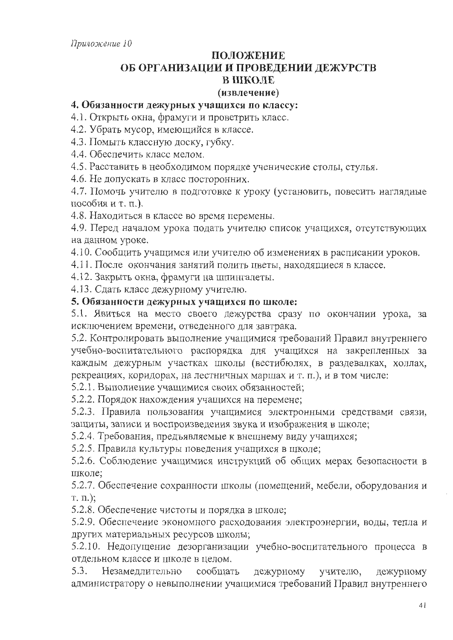# ПОЛОЖЕНИЕ ОБ ОРГАНИЗАЦИИ И ПРОВЕДЕНИИ ДЕЖУРСТВ В ШКОЛЕ

#### (извлечение)

### 4. Обязанности дежурных учащихся по классу:

4.1. Открыть окна, фрамуги и проветрить класс.

4.2. Убрать мусор, имеющийся в классе.

4.3. Помыть классную доску, губку.

4.4. Обеспечить класс мелом.

4.5. Расставить в необходимом порядке ученические столы, стулья.

4.6. Не допускать в класс посторонних.

4.7. Помочь учителю в подготовке к уроку (установить, повесить наглядные пособия и т. п.).

4.8. Находиться в классе во время перемены.

4.9. Перед началом урока подать учителю список учащихся, отсутствующих на данном уроке.

4.10. Сообщить учащимся или учителю об изменениях в расписании уроков.

4.11. После окончания занятий полить цветы, находящиеся в классе.

4.12. Закрыть окна, фрамуги на шпингалеты.

4.13. Сдать класс дежурному учителю.

#### 5. Обязанности дежурных учащихся по школе:

5.1. Явиться на место своего дежурства сразу по окончании урока, за исключением времени, отведенного для завтрака.

5.2. Контролировать выполнение учащимися требований Правил внутреннего учебно-воспитательного распорядка для учащихся на закрепленных за каждым дежурным участках школы (вестибюлях, в раздевалках, холлах, рекреациях, коридорах, на лестничных маршах и т. п.), и в том числе:

5.2.1. Выполнение учащимися своих обязанностей;

5.2.2. Порядок нахождения учащихся на перемене;

5.2.3. Правила пользования учащимися электронными средствами связи, защиты, записи и воспроизведения звука и изображения в школе;

5.2.4. Требования, предъявляемые к внешнему виду учащихся;

5.2.5. Правила культуры поведения учащихся в школе;

5.2.6. Соблюдение учащимися инструкций об общих мерах безопасности в школе:

5.2.7. Обеспечение сохранности школы (помещений, мебели, оборудования и  $T. \Pi.$ );

5.2.8. Обеспечение чистоты и порядка в школе;

5.2.9. Обеспечение экономного расходования электроэнергии, воды, тепла и других материальных ресурсов школы;

5.2.10. Недопущение дезорганизации учебно-воспитательного процесса в отдельном классе и школе в целом.

5.3. Незамеллительно сообщать дежурному учителю, дежурному администратору о невыполнении учащимися требований Правил внутреннего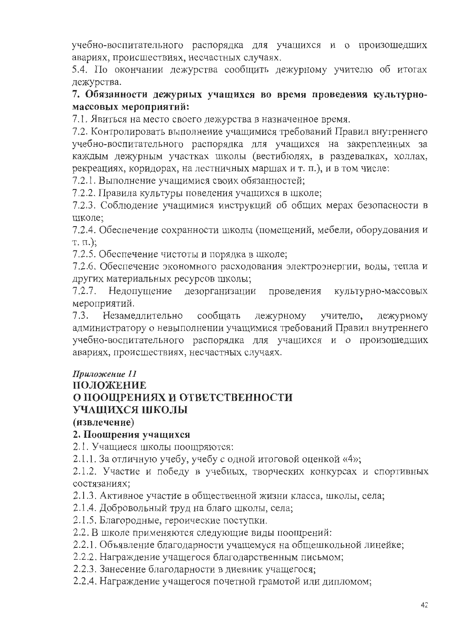учебно-воспитательного распорядка для учащихся и о произошедших авариях, происшествиях, несчастных случаях.

5.4. По окончании дежурства сообщить дежурному учителю об итогах дежурства.

# 7. Обязанности дежурных учащихся во время проведения культурномассовых мероприятий:

7.1. Явиться на место своего дежурства в назначенное время.

7.2. Контролировать выполнение учащимися требований Правил внутреннего учебно-воспитательного распорядка для учащихся на закрепленных за каждым дежурным участках школы (вестибюлях, в раздевалках, холлах, рекреациях, коридорах, на лестничных маршах и т. п.), и в том числе:

7.2.1. Выполнение учащимися своих обязанностей;

7.2.2. Правила культуры поведения учащихся в школе;

7.2.3. Соблюдение учащимися инструкций об общих мерах безопасности в школе:

7.2.4. Обеспечение сохранности школы (помещений, мебели, оборудования и  $T. \Pi.$ ;

7.2.5. Обеспечение чистоты и порядка в школе;

7.2.6. Обеспечение экономного расходования электроэнергии, воды, тепла и других материальных ресурсов школы;

7.2.7. Недопущение дезорганизации проведения культурно-массовых мероприятий.

Незамедлительно сообщать дежурному учителю, дежурному  $7.3.$ администратору о невыполнении учащимися требований Правил внутреннего учебно-воспитательного распорядка для учащихся и о произошедших авариях, происшествиях, несчастных случаях.

# Приложение 11

# ПОЛОЖЕНИЕ

# О ПООЩРЕНИЯХ И ОТВЕТСТВЕННОСТИ

# УЧАЩИХСЯ ШКОЛЫ

(извлечение)

### 2. Поощрения учащихся

2.1. Учащиеся школы поощряются:

2.1.1. За отличную учебу, учебу с одной итоговой оценкой «4»;

2.1.2. Участие и победу в учебных, творческих конкурсах и спортивных состязаниях:

2.1.3. Активное участие в общественной жизни класса, школы, села;

2.1.4. Добровольный труд на благо школы, села;

2.1.5. Благородные, героические поступки.

2.2. В школе применяются следующие виды поощрений:

2.2.1. Объявление благодарности учащемуся на общешкольной линейке;

2.2.2. Награждение учащегося благодарственным письмом;

2.2.3. Занесение благодарности в дневник учащегося;

2.2.4. Награждение учащегося почетной грамотой или дипломом;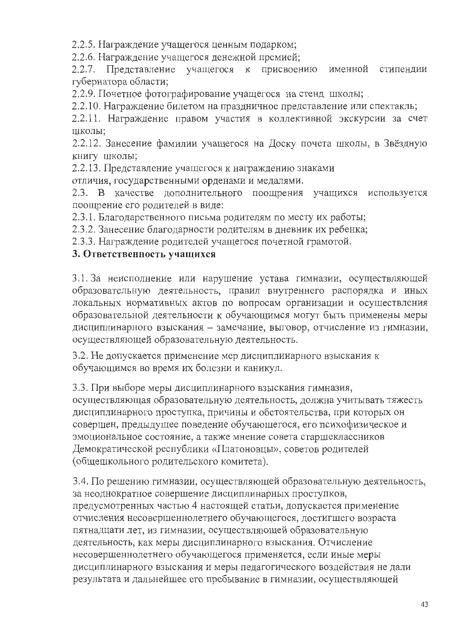2.2.5. Награждение учащегося ценным подарком;

2.2.6. Награждение учащегося денежной премией;

2.2.7. Представление учащегося к присвоению именной стипендии губернатора области;

2.2.9. Почетное фотографирование учащегося на стенд школы;

2.2.10. Награждение билетом на праздничное представление или спектакль;

2.2.11. Награждение правом участия в коллективной экскурсии за счет школы:

2.2.12. Занесение фамилии учащегося на Доску почета школы, в Звёздную книгу школы;

2.2.13. Представление учащегося к награждению знаками

отличия, государственными орденами и медалями.

2.3. В качестве дополнительного поощрения учащихся используется поощрение его родителей в виде:

2.3.1. Благодарственного письма родителям по месту их работы;

2.3.2. Занесение благодарности родителям в дневник их ребенка;

2.3.3. Награждение родителей учащегося почетной грамотой.

# 3. Ответственность учащихся

3.1. За неисполнение или нарушение устава гимназии, осуществляющей образовательную деятельность, правил внутреннего распорядка и иных локальных нормативных актов по вопросам организации и осуществления образовательной деятельности к обучающимся могут быть применены меры дисциплинарного взыскания - замечание, выговор, отчисление из гимназии, осуществляющей образовательную деятельность.

3.2. Не допускается применение мер дисциплинарного взыскания к обучающимся во время их болезни и каникул.

3.3. При выборе меры дисциплинарного взыскания гимназия, осуществляющая образовательную деятельность, должна учитывать тяжесть дисциплинарного проступка, причины и обстоятельства, при которых он совершен, предыдущее поведение обучающегося, его психофизическое и эмоциональное состояние, а также мнение совета старшеклассников Демократической республики «Платоновцы», советов родителей (общешкольного родительского комитета).

3.4. По решению гимназии, осуществляющей образовательную деятельность, за неоднократное совершение дисциплинарных проступков, предусмотренных частью 4 настоящей статьи, допускается применение отчисления несовершеннолетнего обучающегося, достигшего возраста пятнадцати лет, из гимназии, осуществляющей образовательную деятельность, как меры дисциплинарного взыскания. Отчисление несовершеннолетнего обучающегося применяется, если иные меры дисциплинарного взыскания и меры педагогического воздействия не дали результата и дальнейшее его пребывание в гимназии, осуществляющей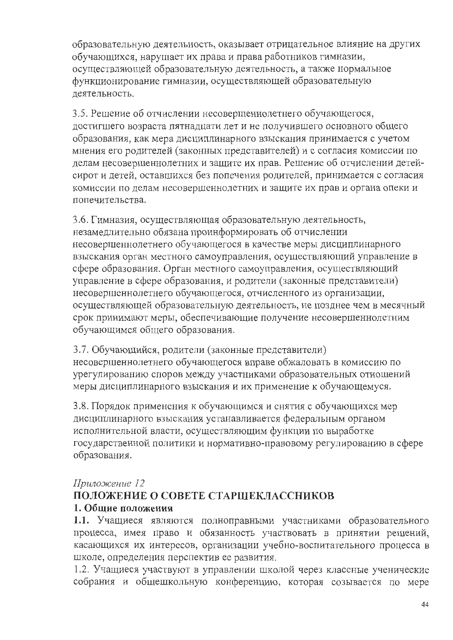образовательную деятельность, оказывает отрицательное влияние на других обучающихся, нарушает их права и права работников гимназии, осуществляющей образовательную деятельность, а также нормальное функционирование гимназии, осуществляющей образовательную деятельность.

3.5. Решение об отчислении несовершеннолетнего обучающегося, достигшего возраста пятнадцати лет и не получившего основного общего образования, как мера дисциплинарного взыскания принимается с учетом мнения его родителей (законных представителей) и с согласия комиссии по делам несовершеннолетних и защите их прав. Решение об отчислении детейсирот и детей, оставшихся без попечения родителей, принимается с согласия комиссии по делам несовершеннолетних и защите их прав и органа опеки и попечительства.

3.6. Гимназия, осуществляющая образовательную деятельность, незамедлительно обязана проинформировать об отчислении несовершеннолетнего обучающегося в качестве меры дисциплинарного взыскания орган местного самоуправления, осуществляющий управление в сфере образования. Орган местного самоуправления, осуществляющий управление в сфере образования, и родители (законные представители) несовершеннолетнего обучающегося, отчисленного из организации, осуществляющей образовательную деятельность, не позднее чем в месячный срок принимают меры, обеспечивающие получение несовершеннолетним обучающимся общего образования.

3.7. Обучающийся, родители (законные представители) несовершеннолетнего обучающегося вправе обжаловать в комиссию по урегулированию споров между участниками образовательных отношений меры дисциплинарного взыскания и их применение к обучающемуся.

3.8. Порядок применения к обучающимся и снятия с обучающихся мер дисциплинарного взыскания устанавливается федеральным органом исполнительной власти, осуществляющим функции по выработке государственной политики и нормативно-правовому регулированию в сфере образования.

### Приложение 12

# ПОЛОЖЕНИЕ О СОВЕТЕ СТАРШЕКЛАССНИКОВ 1. Общие положения

1.1. Учащиеся являются полноправными участниками образовательного процесса, имея право и обязанность участвовать в принятии решений, касающихся их интересов, организации учебно-воспитательного процесса в школе, определения перспектив ее развития.

1.2. Учащиеся участвуют в управлении школой через классные ученические собрания и общешкольную конференцию, которая созывается по мере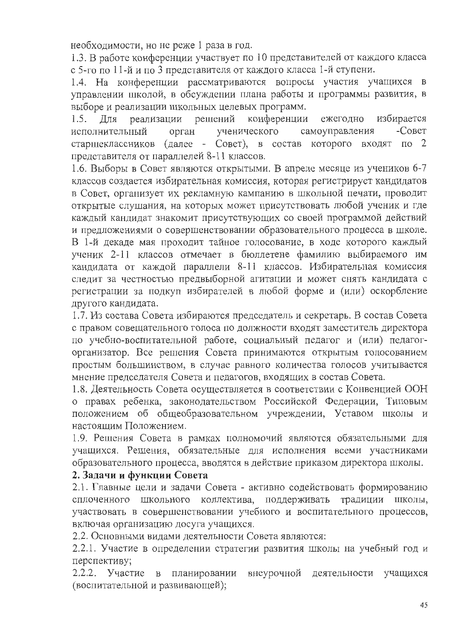необходимости, но не реже 1 раза в год.

1.3. В работе конференции участвует по 10 представителей от каждого класса с 5-го по 11-й и по 3 представителя от каждого класса 1-й ступени.

1.4. На конференции рассматриваются вопросы участия учащихся в управлении школой, в обсуждении плана работы и программы развития, в выборе и реализации школьных целевых программ.

конференции ежегодно избирается реализации решений  $1.5.$ Лля ученического  $-C$ OBeT самоуправления исполнительный орган старшеклассников (далее - Совет), в состав которого входят  $\pi$ <sup>2</sup> представителя от параллелей 8-11 классов.

1.6. Выборы в Совет являются открытыми. В апреле месяце из учеников 6-7 классов создается избирательная комиссия, которая регистрирует кандидатов в Совет, организует их рекламную кампанию в школьной печати, проводит открытые слушания, на которых может присутствовать любой ученик и где каждый кандидат знакомит присутствующих со своей программой действий и предложениями о совершенствовании образовательного процесса в школе. В 1-й декаде мая проходит тайное голосование, в ходе которого каждый ученик 2-11 классов отмечает в бюллетене фамилию выбираемого им кандидата от каждой параллели 8-11 классов. Избирательная комиссия следит за честностью предвыборной агитации и может снять кандидата с регистрации за подкуп избирателей в любой форме и (или) оскорбление другого кандидата.

1.7. Из состава Совета избираются председатель и секретарь. В состав Совета с правом совещательного голоса по должности входят заместитель директора по учебно-воспитательной работе, социальный педагог и (или) педагогорганизатор. Все решения Совета принимаются открытым голосованием простым большинством, в случае равного количества голосов учитывается мнение председателя Совета и педагогов, входящих в состав Совета.

1.8. Деятельность Совета осуществляется в соответствии с Конвенцией ООН о правах ребенка, законодательством Российской Федерации, Типовым положением об общеобразовательном учреждении, Уставом школы и настоящим Положением.

1.9. Решения Совета в рамках полномочий являются обязательными для учащихся. Решения, обязательные для исполнения всеми участниками образовательного процесса, вводятся в действие приказом директора школы.

## 2. Задачи и функции Совета

2.1. Главные цели и задачи Совета - активно содействовать формированию сплоченного школьного коллектива, поддерживать традиции школы, участвовать в совершенствовании учебного и воспитательного процессов, включая организацию досуга учащихся.

2.2. Основными видами деятельности Совета являются:

2.2.1. Участие в определении стратегии развития школы на учебный год и перспективу;

2.2.2. Участие внеурочной деятельности в планировании учащихся (воспитательной и развивающей);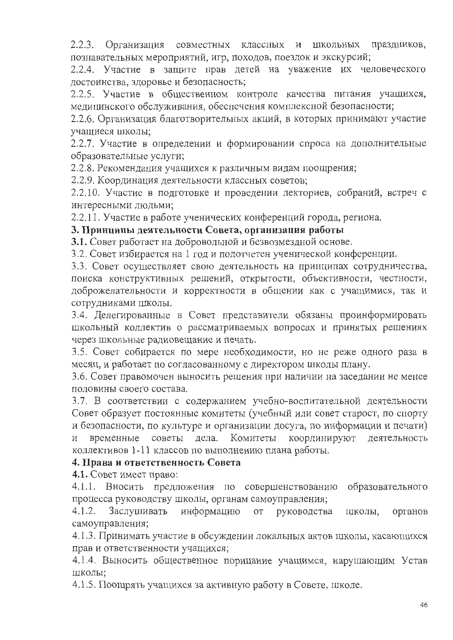2.2.3. Организация совместных классных и школьных праздников, познавательных мероприятий, игр, походов, поездок и экскурсий;

2.2.4. Участие в защите прав детей на уважение их человеческого достоинства, здоровье и безопасность;

2.2.5. Участие в общественном контроле качества питания учащихся, медицинского обслуживания, обеспечения комплексной безопасности;

2.2.6. Организация благотворительных акций, в которых принимают участие учащиеся школы;

2.2.7. Участие в определении и формировании спроса на дополнительные образовательные услуги;

2.2.8. Рекомендация учащихся к различным видам поощрения;

2.2.9. Координация деятельности классных советов;

2.2.10. Участие в подготовке и проведении лекториев, собраний, встреч с интересными людьми;

2.2.11. Участие в работе ученических конференций города, региона.

# 3. Принципы деятельности Совета, организация работы

3.1. Совет работает на добровольной и безвозмездной основе.

3.2. Совет избирается на 1 год и подотчетен ученической конференции.

3.3. Совет осуществляет свою деятельность на принципах сотрудничества, поиска конструктивных решений, открытости, объективности, честности, доброжелательности и корректности в общении как с учащимися, так и сотрудниками школы.

3.4. Делегированные в Совет представители обязаны проинформировать школьный коллектив о рассматриваемых вопросах и принятых решениях через школьные радиовещание и печать.

3.5. Совет собирается по мере необходимости, но не реже одного раза в месяц, и работает по согласованному с директором школы плану.

3.6. Совет правомочен выносить решения при наличии на заседании не менее половины своего состава.

3.7. В соответствии с содержанием учебно-воспитательной деятельности Совет образует постоянные комитеты (учебный или совет старост, по спорту и безопасности, по культуре и организации досуга, по информации и печати) временные советы дела. Комитеты координируют деятельность  $\mathbf H$ коллективов 1-11 классов по выполнению плана работы.

### 4. Права и ответственность Совета

4.1. Совет имеет право:

4.1.1. Вносить предложения по совершенствованию образовательного процесса руководству школы, органам самоуправления;

Заслушивать информацию от руководства  $4.1.2.$ школы, органов самоуправления;

4.1.3. Принимать участие в обсуждении локальных актов школы, касающихся прав и ответственности учащихся;

4.1.4. Выносить общественное порицание учащимся, нарушающим Устав ШКОЛЫ;

4.1.5. Поощрять учащихся за активную работу в Совете, школе.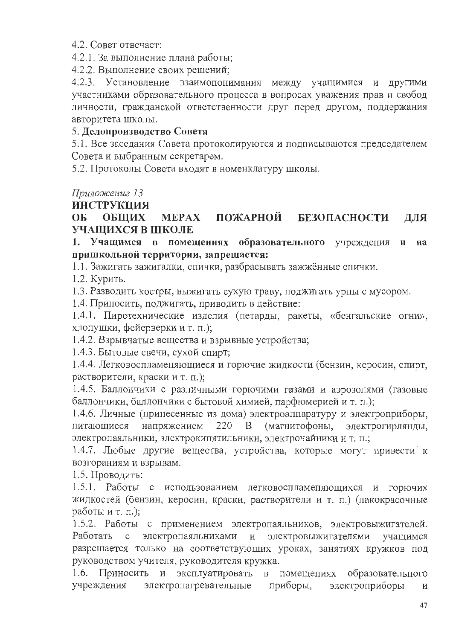4.2. Совет отвечает:

4.2.1. За выполнение плана работы;

4.2.2. Выполнение своих решений;

4.2.3. Установление взаимопонимания между учащимися и другими участниками образовательного процесса в вопросах уважения прав и свобод личности, гражданской ответственности друг перед другом, поддержания авторитета школы.

# 5. Делопроизводство Совета

5.1. Все заседания Совета протоколируются и подписываются председателем Совета и выбранным секретарем.

5.2. Протоколы Совета входят в номенклатуру школы.

Приложение 13

# **ИНСТРУКЦИЯ**

#### ПОЖАРНОЙ **БЕЗОПАСНОСТИ** OE-**ОБЩИХ MEPAX** ДЛЯ УЧАЩИХСЯ В ШКОЛЕ

1. Учащимся в помещениях образовательного учреждения на пришкольной территории, запрещается:

1.1. Зажигать зажигалки, спички, разбрасывать зажжённые спички.

1.2. Курить.

1.3. Разводить костры, выжигать сухую траву, поджигать урны с мусором.

1.4. Приносить, поджигать, приводить в действие:

1.4.1. Пиротехнические изделия (петарды, ракеты, «бенгальские огни», хлопушки, фейерверки и т. п.);

1.4.2. Взрывчатые вещества и взрывные устройства;

1.4.3. Бытовые свечи, сухой спирт;

1.4.4. Легковоспламеняющиеся и горючие жидкости (бензин, керосин, спирт, растворители, краски и т. п.);

1.4.5. Баллончики с различными горючими газами и аэрозолями (газовые баллончики, баллончики с бытовой химией, парфюмерией и т. п.);

1.4.6. Личные (принесенные из дома) электроаппаратуру и электроприборы, напряжением 220  $\mathbf{B}$ (магнитофоны, электрогирлянды, питающиеся электропаяльники, электрокипятильники, электрочайники и т. п.;

1.4.7. Любые другие вещества, устройства, которые могут привести к возгораниям и взрывам.

1.5. Проводить:

1.5.1. Работы с использованием легковоспламеняющихся и горючих жидкостей (бензин, керосин, краски, растворители и т. п.) (лакокрасочные работы и т. п.);

1.5.2. Работы с применением электропаяльников, электровыжигателей. электровыжигателями Работать с электропаяльниками учащимся разрешается только на соответствующих уроках, занятиях кружков под руководством учителя, руководителя кружка.

1.6. Приносить и эксплуатировать в помещениях образовательного электронагревательные приборы, электроприборы учреждения И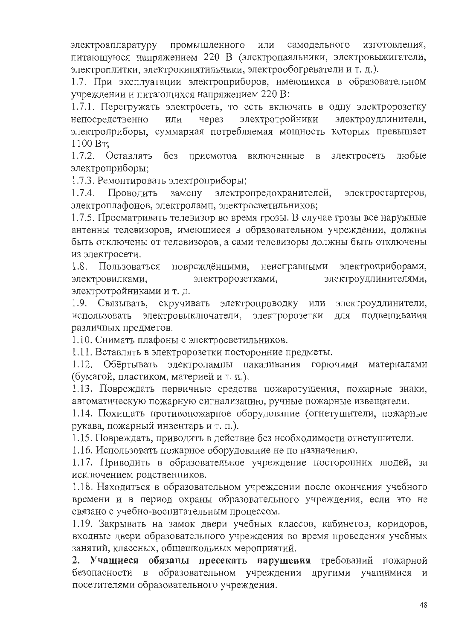электроаппаратуру промышленного или самодельного изготовления, питающуюся напряжением 220 В (электропаяльники, электровыжигатели, электроплитки, электрокипятильники, электрообогреватели и т. д.).

1.7. При эксплуатации электроприборов, имеющихся в образовательном учреждении и питающихся напряжением 220 В:

1.7.1. Перегружать электросеть, то есть включать в одну электророзетку электротройники через электроудлинители, непосредственно ИЛИ электроприборы, суммарная потребляемая мощность которых превышает 1100 BT:

без присмотра включенные 1.7.2. Оставлять электросеть любые  $\mathbf{B}$ электроприборы;

1.7.3. Ремонтировать электроприборы;

замену электропредохранителей,  $1.7.4.$ Проводить электростартеров, электроплафонов, электроламп, электросветильников;

1.7.5. Просматривать телевизор во время грозы. В случае грозы все наружные антенны телевизоров, имеющиеся в образовательном учреждении, должны быть отключены от телевизоров, а сами телевизоры должны быть отключены из электросети.

повреждёнными, неисправными электроприборами, 1.8. Пользоваться электророзетками, электроудлинителями, электровилками, электротройниками и т. д.

1.9. Связывать, скручивать электропроводку или электроудлинители, использовать электровыключатели, электророзетки для подвешивания различных предметов.

1.10. Снимать плафоны с электросветильников.

1.11. Вставлять в электророзетки посторонние предметы.

1.12. Обёртывать электролампы накаливания горючими материалами (бумагой, пластиком, материей и т. п.).

1.13. Повреждать первичные средства пожаротушения, пожарные знаки, автоматическую пожарную сигнализацию, ручные пожарные извещатели.

1.14. Похищать противопожарное оборудование (огнетушители, пожарные рукава, пожарный инвентарь и т. п.).

1.15. Повреждать, приводить в действие без необходимости огнетушители.

1.16. Использовать пожарное оборудование не по назначению.

1.17. Приводить в образовательное учреждение посторонних людей, за исключением родственников.

1.18. Находиться в образовательном учреждении после окончания учебного времени и в период охраны образовательного учреждения, если это не связано с учебно-воспитательным процессом.

1.19. Закрывать на замок двери учебных классов, кабинетов, коридоров, входные двери образовательного учреждения во время проведения учебных занятий, классных, общешкольных мероприятий.

2. Учащиеся обязаны пресекать нарушения требований пожарной безопасности в образовательном учреждении другими учащимися и посетителями образовательного учреждения.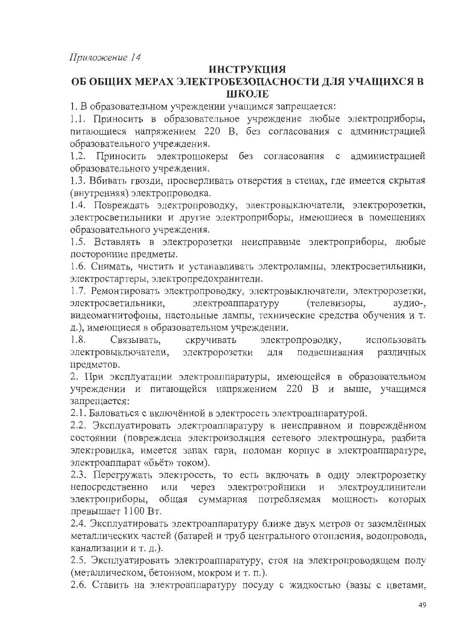### **ИНСТРУКЦИЯ**

# ОБ ОБЩИХ МЕРАХ ЭЛЕКТРОБЕЗОПАСНОСТИ ДЛЯ УЧАЩИХСЯ В ШКОЛЕ

1. В образовательном учреждении учащимся запрещается:

1.1. Приносить в образовательное учреждение любые электроприборы, питающиеся напряжением 220 В, без согласования с администрацией образовательного учреждения.

1.2. Приносить электрошокеры без согласования администрацией  $\mathbf{C}$ образовательного учреждения.

1.3. Вбивать гвозди, просверливать отверстия в стенах, где имеется скрытая (внутренняя) электропроводка.

1.4. Повреждать электропроводку, электровыключатели, электророзетки, электросветильники и другие электроприборы, имеющиеся в помещениях образовательного учреждения.

1.5. Вставлять в электророзетки неисправные электроприборы, любые посторонние предметы.

1.6. Снимать, чистить и устанавливать электролампы, электросветильники, электростартеры, электропредохранители.

1.7. Ремонтировать электропроводку, электровыключатели, электророзетки, электроаппаратуру (телевизоры, электросветильники, аудио-, видеомагнитофоны, настольные лампы, технические средства обучения и т. д.), имеющиеся в образовательном учреждении.

1.8. Связывать, скручивать электропроводку, использовать электровыключатели, электророзетки подвешивания ДЛЯ различных предметов.

2. При эксплуатации электроаппаратуры, имеющейся в образовательном учреждении и питающейся напряжением 220 В и выше, учащимся запрещается:

2.1. Баловаться с включённой в электросеть электроаппаратурой.

2.2. Эксплуатировать электроаппаратуру в неисправном и повреждённом состоянии (повреждена электроизоляция сетевого электрошнура, разбита электровилка, имеется запах гари, поломан корпус в электроаппаратуре, электроаппарат «бьёт» током).

2.3. Перегружать электросеть, то есть включать в одну электророзетку непосредственно через электротройники электроудлинители ИЛИ  $\mathbf{N}$ электроприборы, общая суммарная потребляемая мощность которых превышает 1100 Вт.

2.4. Эксплуатировать электроаппаратуру ближе двух метров от заземлённых металлических частей (батарей и труб центрального отопления, водопровода, канализации и т. д.).

2.5. Эксплуатировать электроаппаратуру, стоя на электропроводящем полу (металлическом, бетонном, мокром и т. п.).

2.6. Ставить на электроаппаратуру посуду с жидкостью (вазы с цветами,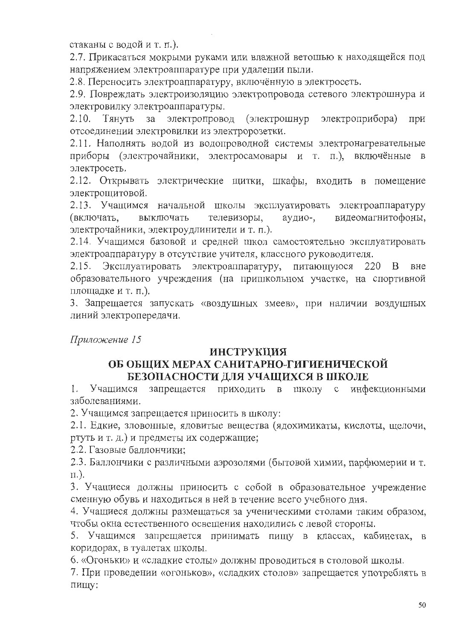стаканы с водой и т. п.).

2.7. Прикасаться мокрыми руками или влажной ветошью к находящейся под напряжением электроаппаратуре при удалении пыли.

2.8. Переносить электроаппаратуру, включённую в электросеть.

2.9. Повреждать электроизоляцию электропровода сетевого электрошнура и электровилку электроаппаратуры.

электропровод (электрошнур электроприбора) Тянуть за 2.10. при отсоединении электровилки из электророзетки.

2.11. Наполнять водой из водопроводной системы электронагревательные приборы (электрочайники, электросамовары и т. п.), включённые в электросеть.

2.12. Открывать электрические щитки, шкафы, входить в помещение электрощитовой.

2.13. Учащимся начальной школы эксплуатировать электроаппаратуру (включать, выключать телевизоры, аудио-, видеомагнитофоны, электрочайники, электроудлинители и т. п.).

2.14. Учащимся базовой и средней школ самостоятельно эксплуатировать электроаппаратуру в отсутствие учителя, классного руководителя.

2.15. Эксплуатировать электроаппаратуру, питающуюся 220 В вне образовательного учреждения (на пришкольном участке, на спортивной площадке и т. п.).

3. Запрещается запускать «воздушных змеев», при наличии воздушных линий электропередачи.

Приложение 15

### ИНСТРУКЦИЯ

# ОБ ОБЩИХ МЕРАХ САНИТАРНО-ГИГИЕНИЧЕСКОЙ БЕЗОПАСНОСТИ ДЛЯ УЧАЩИХСЯ В ШКОЛЕ

запрещается приходить 1. Учашимся  $\mathbf{B}$ школу с инфекционными заболеваниями.

2. Учащимся запрещается приносить в школу:

2.1. Едкие, зловонные, ядовитые вещества (ядохимикаты, кислоты, щелочи, ртуть и т. д.) и предметы их содержащие;

2.2. Газовые баллончики:

2.3. Баллончики с различными аэрозолями (бытовой химии, парфюмерии и т.  $\pi$ ).

3. Учащиеся должны приносить с собой в образовательное учреждение сменную обувь и находиться в ней в течение всего учебного дня.

4. Учащиеся должны размещаться за ученическими столами таким образом, чтобы окна естественного освещения находились с левой стороны.

5. Учащимся запрещается принимать пищу в классах, кабинетах, в коридорах, в туалетах школы.

6. «Огоньки» и «сладкие столы» должны проводиться в столовой школы.

7. При проведении «огоньков», «сладких столов» запрещается употреблять в пищу: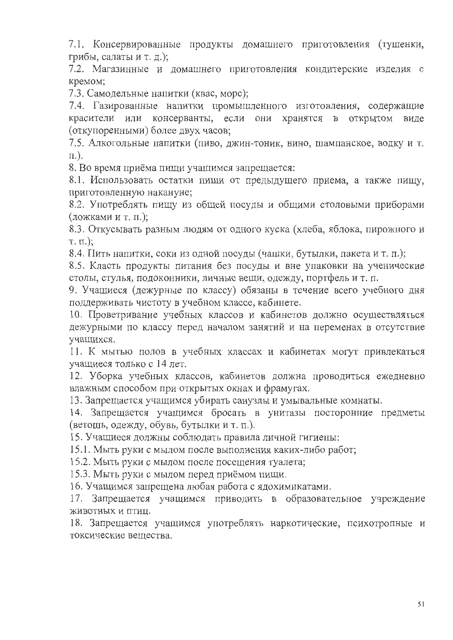7.1. Консервированные продукты домашнего приготовления (тушенки, грибы, салаты и т. д.);

7.2. Магазинные и домашнего приготовления кондитерские изделия с кремом:

7.3. Самодельные напитки (квас, морс);

7.4. Газированные напитки промышленного изготовления, содержащие красители или консерванты, если они хранятся в открытом виде (откупоренными) более двух часов;

7.5. Алкогольные напитки (пиво, джин-тоник, вино, шампанское, водку и т.  $\Pi$ .).

8. Во время приёма пищи учащимся запрещается:

8.1. Использовать остатки пищи от предыдущего приема, а также пищу, приготовленную накануне;

8.2. Употреблять пищу из общей посуды и общими столовыми приборами (ложками и т. п.);

8.3. Откусывать разным людям от одного куска (хлеба, яблока, пирожного и  $T. \Pi.$ );

8.4. Пить напитки, соки из одной посуды (чашки, бутылки, пакета и т. п.);

8.5. Класть продукты питания без посуды и вне упаковки на ученические столы, стулья, подоконники, личные вещи, одежду, портфель и т. п.

9. Учащиеся (дежурные по классу) обязаны в течение всего учебного дня поддерживать чистоту в учебном классе, кабинете.

10. Проветривание учебных классов и кабинетов должно осуществляться дежурными по классу перед началом занятий и на переменах в отсутствие учащихся.

11. К мытью полов в учебных классах и кабинетах могут привлекаться учащиеся только с 14 лет.

12. Уборка учебных классов, кабинетов должна проводиться ежедневно влажным способом при открытых окнах и фрамугах.

13. Запрещается учащимся убирать санузлы и умывальные комнаты.

14. Запрещается учащимся бросать в унитазы посторонние предметы (ветошь, одежду, обувь, бутылки и т. п.).

15. Учащиеся должны соблюдать правила личной гигиены:

15.1. Мыть руки с мылом после выполнения каких-либо работ;

15.2. Мыть руки с мылом после посещения туалета;

15.3. Мыть руки с мылом перед приёмом пищи.

16. Учащимся запрещена любая работа с ядохимикатами.

17. Запрещается учащимся приводить в образовательное учреждение животных и птиц.

18. Запрещается учащимся употреблять наркотические, психотропные и токсические вещества.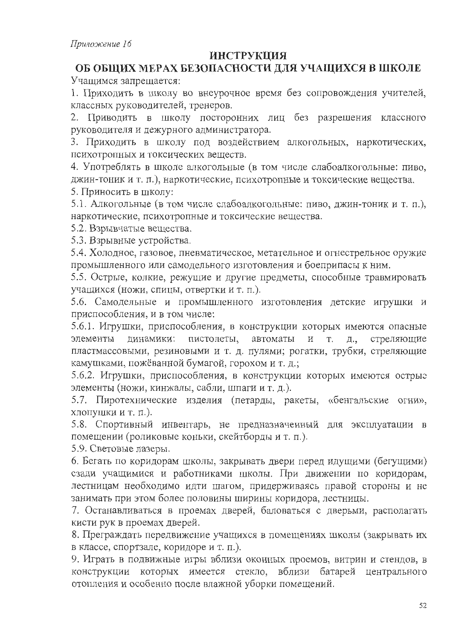# **ИНСТРУКЦИЯ**

## ОБ ОБЩИХ МЕРАХ БЕЗОПАСНОСТИ ДЛЯ УЧАЩИХСЯ В ШКОЛЕ Учащимся запрещается:

1. Приходить в школу во внеурочное время без сопровождения учителей, классных руководителей, тренеров.

2. Приводить в школу посторонних лиц без разрешения классного руководителя и дежурного администратора.

3. Приходить в школу под воздействием алкогольных, наркотических, психотропных и токсических веществ.

4. Употреблять в школе алкогольные (в том числе слабоалкогольные: пиво, джин-тоник и т. п.), наркотические, психотропные и токсические вещества. 5. Приносить в школу:

5.1. Алкогольные (в том числе слабоалкогольные: пиво, джин-тоник и т. п.), наркотические, психотропные и токсические вещества.

5.2. Взрывчатые вещества.

5.3. Взрывные устройства.

5.4. Холодное, газовое, пневматическое, метательное и огнестрельное оружие промышленного или самодельного изготовления и боеприпасы к ним.

5.5. Острые, колкие, режущие и другие предметы, способные травмировать учащихся (ножи, спицы, отвертки и т. п.).

5.6. Самодельные и промышленного изготовления детские игрушки и приспособления, и в том числе:

5.6.1. Игрушки, приспособления, в конструкции которых имеются опасные элементы динамики: пистолеты, автоматы И Т. стреляющие Д., пластмассовыми, резиновыми и т. д. пулями; рогатки, трубки, стреляющие камушками, пожёванной бумагой, горохом и т. д.;

5.6.2. Игрушки, приспособления, в конструкции которых имеются острые элементы (ножи, кинжалы, сабли, шпаги и т. д.).

5.7. Пиротехнические изделия (петарды, ракеты, «бенгальские огни», ХЛОПУШКИ И Т. П.).

5.8. Спортивный инвентарь, не предназначенный для эксплуатации в помещении (роликовые коньки, скейтборды и т. п.).

5.9. Световые лазеры.

6. Бегать по коридорам школы, закрывать двери перед идущими (бегущими) сзади учащимися и работниками школы. При движении по коридорам, лестницам необходимо идти шагом, придерживаясь правой стороны и не занимать при этом более половины ширины коридора, лестницы.

7. Останавливаться в проемах дверей, баловаться с дверьми, располагать кисти рук в проемах дверей.

8. Преграждать передвижение учащихся в помещениях школы (закрывать их в классе, спортзале, коридоре и т. п.).

9. Играть в подвижные игры вблизи оконных проемов, витрин и стендов, в конструкции которых имеется стекло, вблизи батарей центрального отопления и особенно после влажной уборки помещений.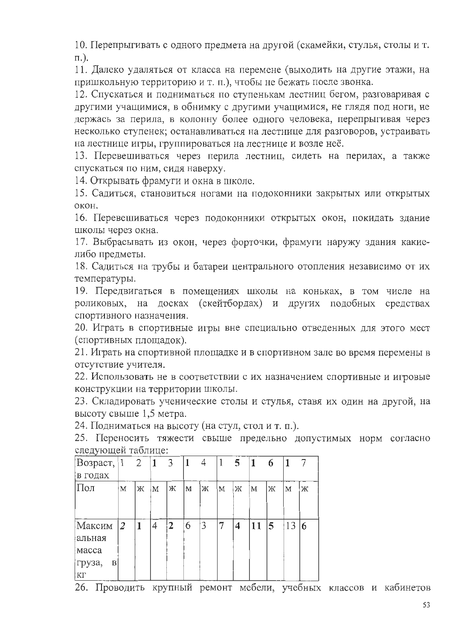10. Перепрыгивать с одного предмета на другой (скамейки, стулья, столы и т.  $\pi$ .).

11. Далеко удаляться от класса на перемене (выходить на другие этажи, на пришкольную территорию и т. п.), чтобы не бежать после звонка.

12. Спускаться и подниматься по ступенькам лестниц бегом, разговаривая с другими учащимися, в обнимку с другими учащимися, не глядя под ноги, не держась за перила, в колонну более одного человека, перепрыгивая через несколько ступенек; останавливаться на лестнице для разговоров, устраивать на лестнице игры, группироваться на лестнице и возле неё.

13. Перевешиваться через перила лестниц, сидеть на перилах, а также спускаться по ним, сидя наверху.

14. Открывать фрамуги и окна в школе.

15. Садиться, становиться ногами на подоконники закрытых или открытых окон.

16. Перевешиваться через подоконники открытых окон, покидать здание школы через окна.

17. Выбрасывать из окон, через форточки, фрамуги наружу здания какиелибо предметы.

18. Садиться на трубы и батареи центрального отопления независимо от их температуры.

19. Передвигаться в помещениях школы на коньках, в том числе на роликовых, на досках (скейтбордах) и других подобных средствах спортивного назначения.

20. Играть в спортивные игры вне специально отведенных для этого мест (спортивных площадок).

21. Играть на спортивной площадке и в спортивном зале во время перемены в отсутствие учителя.

22. Использовать не в соответствии с их назначением спортивные и игровые конструкции на территории школы.

23. Складировать ученические столы и стулья, ставя их один на другой, на высоту свыше 1,5 метра.

24. Подниматься на высоту (на стул, стол и т. п.).

25. Переносить тяжести свыше предельно допустимых норм согласно следующей таблице:

| $\cdot$ $\cdot$<br>Возраст, 1 |                | 2 | 1 | 3              |   | 4 |   | $\overline{5}$ | $\vert$ 1 | 6 |    |   |
|-------------------------------|----------------|---|---|----------------|---|---|---|----------------|-----------|---|----|---|
| в годах                       |                |   |   |                |   |   |   |                |           |   |    |   |
| Пол                           | M              | Ж | M | ж              | M | Ж | M | Ж              | M         | Ж | M  | Ж |
|                               |                |   |   |                |   |   |   |                |           |   |    |   |
|                               |                |   |   |                |   |   |   |                |           |   |    |   |
| Максим                        | $\overline{2}$ | 1 | 4 | $\overline{2}$ | 6 | 3 | 7 | 4              | 11        | 5 | 13 | 6 |
| альная                        |                |   |   |                |   |   |   |                |           |   |    |   |
| Macca                         |                |   |   |                |   |   |   |                |           |   |    |   |
| груза,<br>B                   |                |   |   |                |   |   |   |                |           |   |    |   |
| ¦КГ                           |                |   |   |                |   |   |   |                |           |   |    |   |

26. Проводить крупный ремонт мебели, учебных классов и кабинетов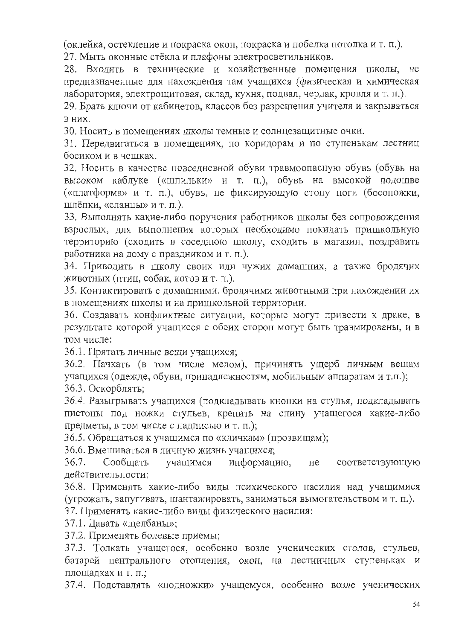(оклейка, остекление и покраска окон, покраска и побелка потолка и т. п.). 27. Мыть оконные стёкла и плафоны электросветильников.

28. Входить в технические и хозяйственные помещения школы, не предназначенные для нахождения там учащихся (физическая и химическая лаборатория, электрощитовая, склад, кухня, подвал, чердак, кровля и т. п.).

29. Брать ключи от кабинетов, классов без разрешения учителя и закрываться в них.

30. Носить в помещениях школы темные и солнцезащитные очки.

31. Передвигаться в помещениях, по коридорам и по ступенькам лестниц босиком и в чешках.

32. Носить в качестве повседневной обуви травмоопасную обувь (обувь на высоком каблуке («шпильки» и т. п.), обувь на высокой подошве («платформа» и т. п.), обувь, не фиксирующую стопу ноги (босоножки, шлёпки, «сланцы» и т. п.).

33. Выполнять какие-либо поручения работников школы без сопровождения взрослых, для выполнения которых необходимо покидать пришкольную территорию (сходить в соседнюю школу, сходить в магазин, поздравить работника на дому с праздником и т. п.).

34. Приводить в школу своих или чужих домашних, а также бродячих животных (птиц, собак, котов и т. п.).

35. Контактировать с домашними, бродячими животными при нахождении их в помещениях школы и на пришкольной территории.

36. Создавать конфликтные ситуации, которые могут привести к драке, в результате которой учащиеся с обеих сторон могут быть травмированы, и в том числе:

36.1. Прятать личные вещи учащихся;

36.2. Пачкать (в том числе мелом), причинять ущерб личным вещам учащихся (одежде, обуви, принадлежностям, мобильным аппаратам и т.п.); 36.3. Оскорблять:

36.4. Разыгрывать учащихся (подкладывать кнопки на стулья, подкладывать пистоны под ножки стульев, крепить на спину учащегося какие-либо предметы, в том числе с надписью и т. п.);

36.5. Обращаться к учащимся по «кличкам» (прозвищам);

36.6. Вмешиваться в личную жизнь учащихся;

учащимся  $36.7.$ Сообщать информацию,  $He$ соответствующую действительности;

36.8. Применять какие-либо виды психического насилия над учащимися (угрожать, запугивать, шантажировать, заниматься вымогательством и т. п.).

37. Применять какие-либо виды физического насилия:

37.1. Давать «щелбаны»;

37.2. Применять болевые приемы;

37.3. Толкать учащегося, особенно возле ученических столов, стульев, батарей центрального отопления, окон, на лестничных ступеньках и площадках и т. п.;

37.4. Подставлять «подножки» учащемуся, особенно возле ученических